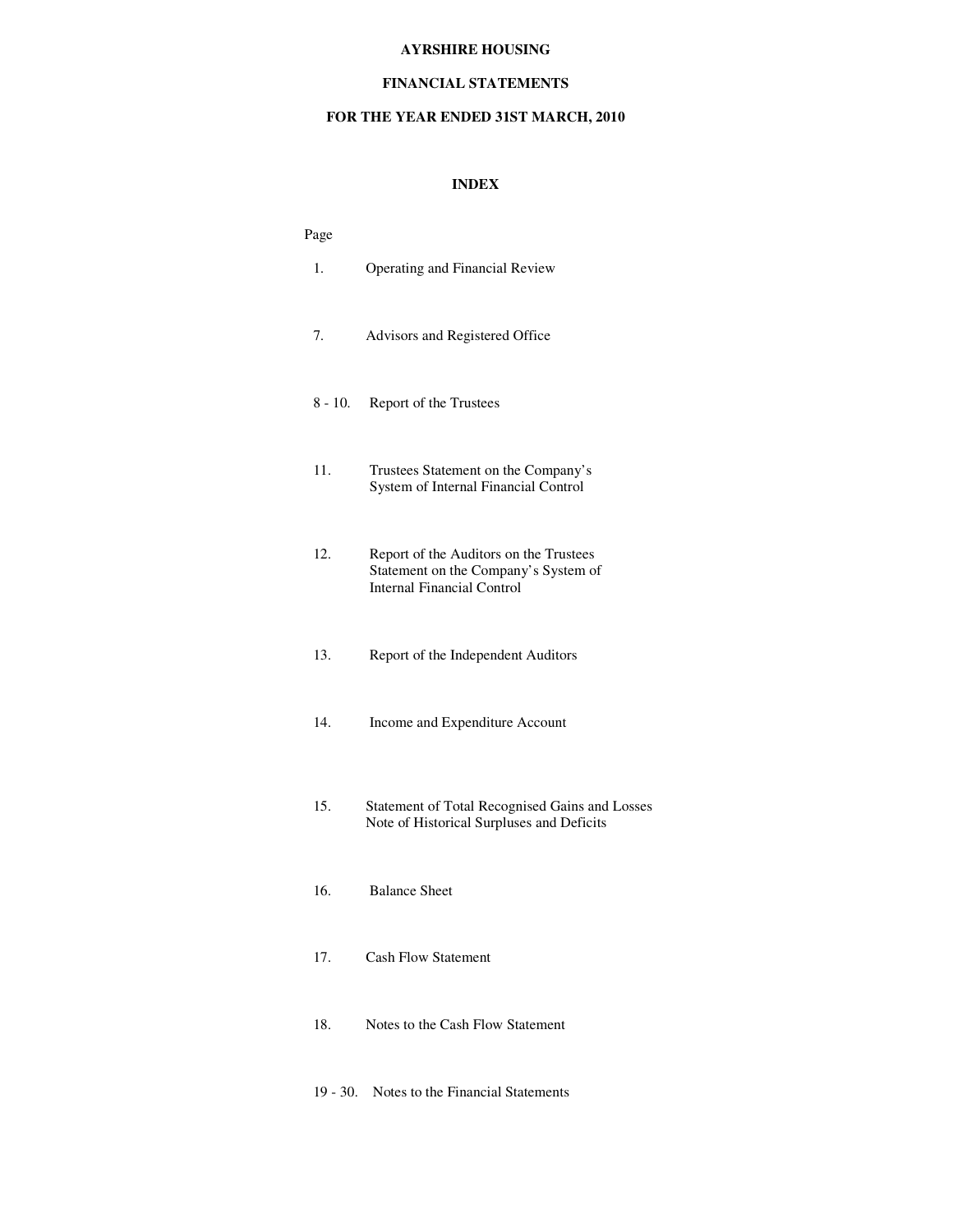### **FINANCIAL STATEMENTS**

# **FOR THE YEAR ENDED 31ST MARCH, 2010**

# **INDEX**

# Page 1. Operating and Financial Review 7. Advisors and Registered Office 8 - 10. Report of the Trustees 11. Trustees Statement on the Company's System of Internal Financial Control 12. Report of the Auditors on the Trustees Statement on the Company's System of Internal Financial Control 13. Report of the Independent Auditors 14. Income and Expenditure Account 15. Statement of Total Recognised Gains and Losses Note of Historical Surpluses and Deficits 16. Balance Sheet

- 17. Cash Flow Statement
- 18. Notes to the Cash Flow Statement
- 19 30. Notes to the Financial Statements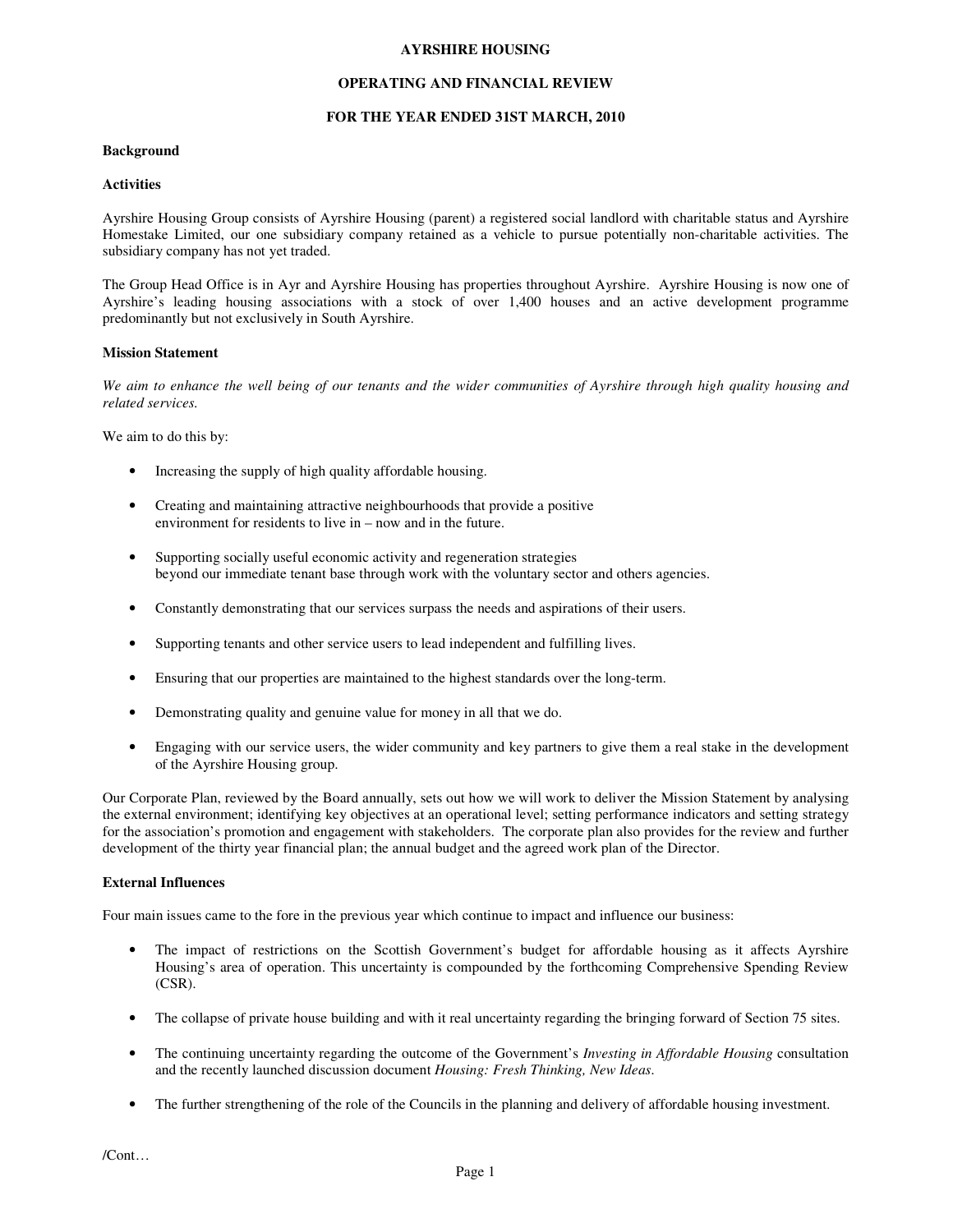### **OPERATING AND FINANCIAL REVIEW**

### **FOR THE YEAR ENDED 31ST MARCH, 2010**

### **Background**

### **Activities**

Ayrshire Housing Group consists of Ayrshire Housing (parent) a registered social landlord with charitable status and Ayrshire Homestake Limited, our one subsidiary company retained as a vehicle to pursue potentially non-charitable activities. The subsidiary company has not yet traded.

The Group Head Office is in Ayr and Ayrshire Housing has properties throughout Ayrshire. Ayrshire Housing is now one of Ayrshire's leading housing associations with a stock of over 1,400 houses and an active development programme predominantly but not exclusively in South Ayrshire.

### **Mission Statement**

*We aim to enhance the well being of our tenants and the wider communities of Ayrshire through high quality housing and related services.* 

We aim to do this by:

- Increasing the supply of high quality affordable housing.
- Creating and maintaining attractive neighbourhoods that provide a positive environment for residents to live in – now and in the future.
- Supporting socially useful economic activity and regeneration strategies beyond our immediate tenant base through work with the voluntary sector and others agencies.
- Constantly demonstrating that our services surpass the needs and aspirations of their users.
- Supporting tenants and other service users to lead independent and fulfilling lives.
- Ensuring that our properties are maintained to the highest standards over the long-term.
- Demonstrating quality and genuine value for money in all that we do.
- Engaging with our service users, the wider community and key partners to give them a real stake in the development of the Ayrshire Housing group.

Our Corporate Plan, reviewed by the Board annually, sets out how we will work to deliver the Mission Statement by analysing the external environment; identifying key objectives at an operational level; setting performance indicators and setting strategy for the association's promotion and engagement with stakeholders. The corporate plan also provides for the review and further development of the thirty year financial plan; the annual budget and the agreed work plan of the Director.

### **External Influences**

Four main issues came to the fore in the previous year which continue to impact and influence our business:

- The impact of restrictions on the Scottish Government's budget for affordable housing as it affects Ayrshire Housing's area of operation. This uncertainty is compounded by the forthcoming Comprehensive Spending Review (CSR).
- The collapse of private house building and with it real uncertainty regarding the bringing forward of Section 75 sites.
- The continuing uncertainty regarding the outcome of the Government's *Investing in Affordable Housing* consultation and the recently launched discussion document *Housing: Fresh Thinking, New Ideas*.
- The further strengthening of the role of the Councils in the planning and delivery of affordable housing investment.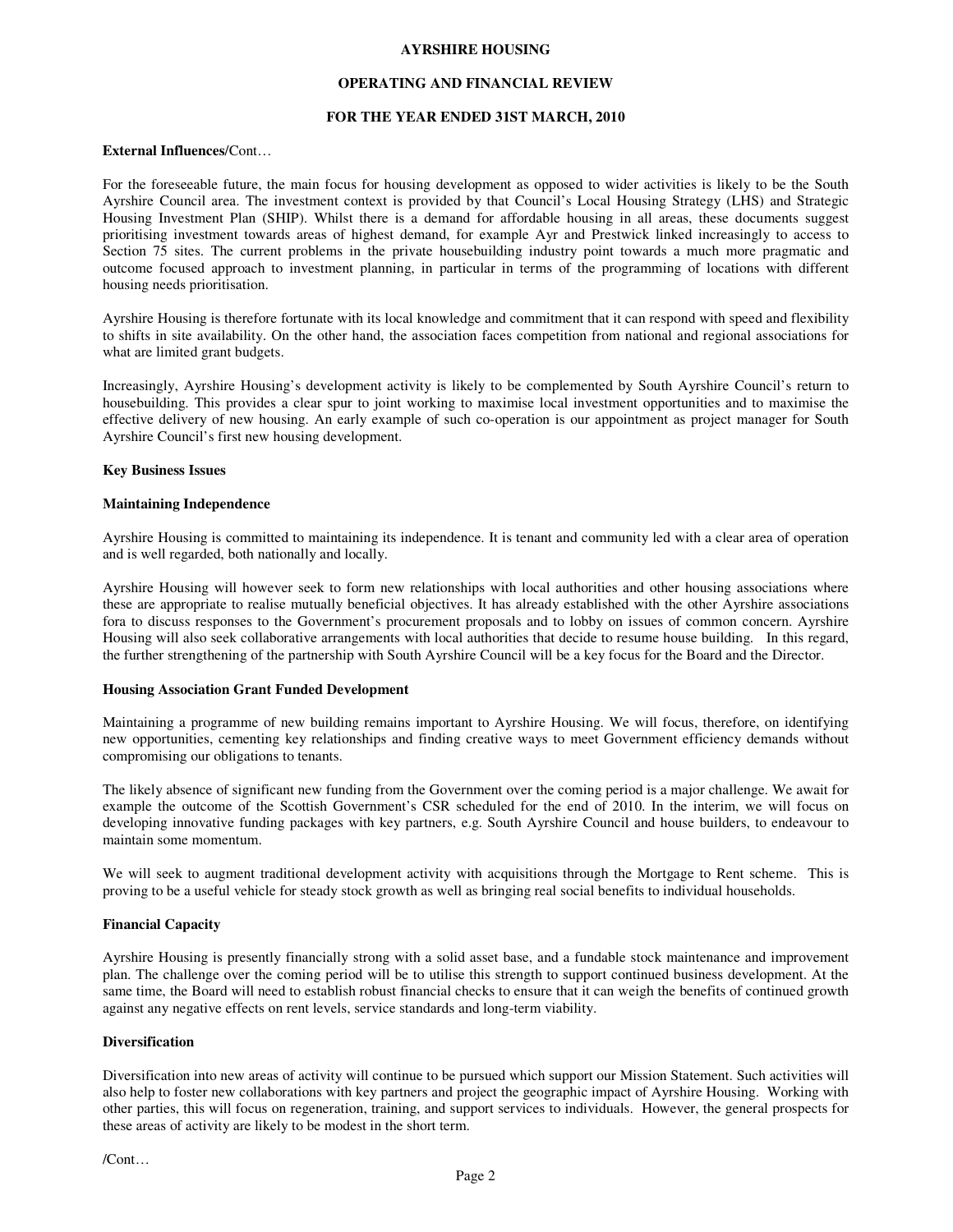### **OPERATING AND FINANCIAL REVIEW**

# **FOR THE YEAR ENDED 31ST MARCH, 2010**

# **External Influences**/Cont…

For the foreseeable future, the main focus for housing development as opposed to wider activities is likely to be the South Ayrshire Council area. The investment context is provided by that Council's Local Housing Strategy (LHS) and Strategic Housing Investment Plan (SHIP). Whilst there is a demand for affordable housing in all areas, these documents suggest prioritising investment towards areas of highest demand, for example Ayr and Prestwick linked increasingly to access to Section 75 sites. The current problems in the private housebuilding industry point towards a much more pragmatic and outcome focused approach to investment planning, in particular in terms of the programming of locations with different housing needs prioritisation.

Ayrshire Housing is therefore fortunate with its local knowledge and commitment that it can respond with speed and flexibility to shifts in site availability. On the other hand, the association faces competition from national and regional associations for what are limited grant budgets.

Increasingly, Ayrshire Housing's development activity is likely to be complemented by South Ayrshire Council's return to housebuilding. This provides a clear spur to joint working to maximise local investment opportunities and to maximise the effective delivery of new housing. An early example of such co-operation is our appointment as project manager for South Ayrshire Council's first new housing development.

#### **Key Business Issues**

#### **Maintaining Independence**

Ayrshire Housing is committed to maintaining its independence. It is tenant and community led with a clear area of operation and is well regarded, both nationally and locally.

Ayrshire Housing will however seek to form new relationships with local authorities and other housing associations where these are appropriate to realise mutually beneficial objectives. It has already established with the other Ayrshire associations fora to discuss responses to the Government's procurement proposals and to lobby on issues of common concern. Ayrshire Housing will also seek collaborative arrangements with local authorities that decide to resume house building. In this regard, the further strengthening of the partnership with South Ayrshire Council will be a key focus for the Board and the Director.

#### **Housing Association Grant Funded Development**

Maintaining a programme of new building remains important to Ayrshire Housing. We will focus, therefore, on identifying new opportunities, cementing key relationships and finding creative ways to meet Government efficiency demands without compromising our obligations to tenants.

The likely absence of significant new funding from the Government over the coming period is a major challenge. We await for example the outcome of the Scottish Government's CSR scheduled for the end of 2010. In the interim, we will focus on developing innovative funding packages with key partners, e.g. South Ayrshire Council and house builders, to endeavour to maintain some momentum.

We will seek to augment traditional development activity with acquisitions through the Mortgage to Rent scheme. This is proving to be a useful vehicle for steady stock growth as well as bringing real social benefits to individual households.

### **Financial Capacity**

Ayrshire Housing is presently financially strong with a solid asset base, and a fundable stock maintenance and improvement plan. The challenge over the coming period will be to utilise this strength to support continued business development. At the same time, the Board will need to establish robust financial checks to ensure that it can weigh the benefits of continued growth against any negative effects on rent levels, service standards and long-term viability.

### **Diversification**

Diversification into new areas of activity will continue to be pursued which support our Mission Statement. Such activities will also help to foster new collaborations with key partners and project the geographic impact of Ayrshire Housing. Working with other parties, this will focus on regeneration, training, and support services to individuals. However, the general prospects for these areas of activity are likely to be modest in the short term.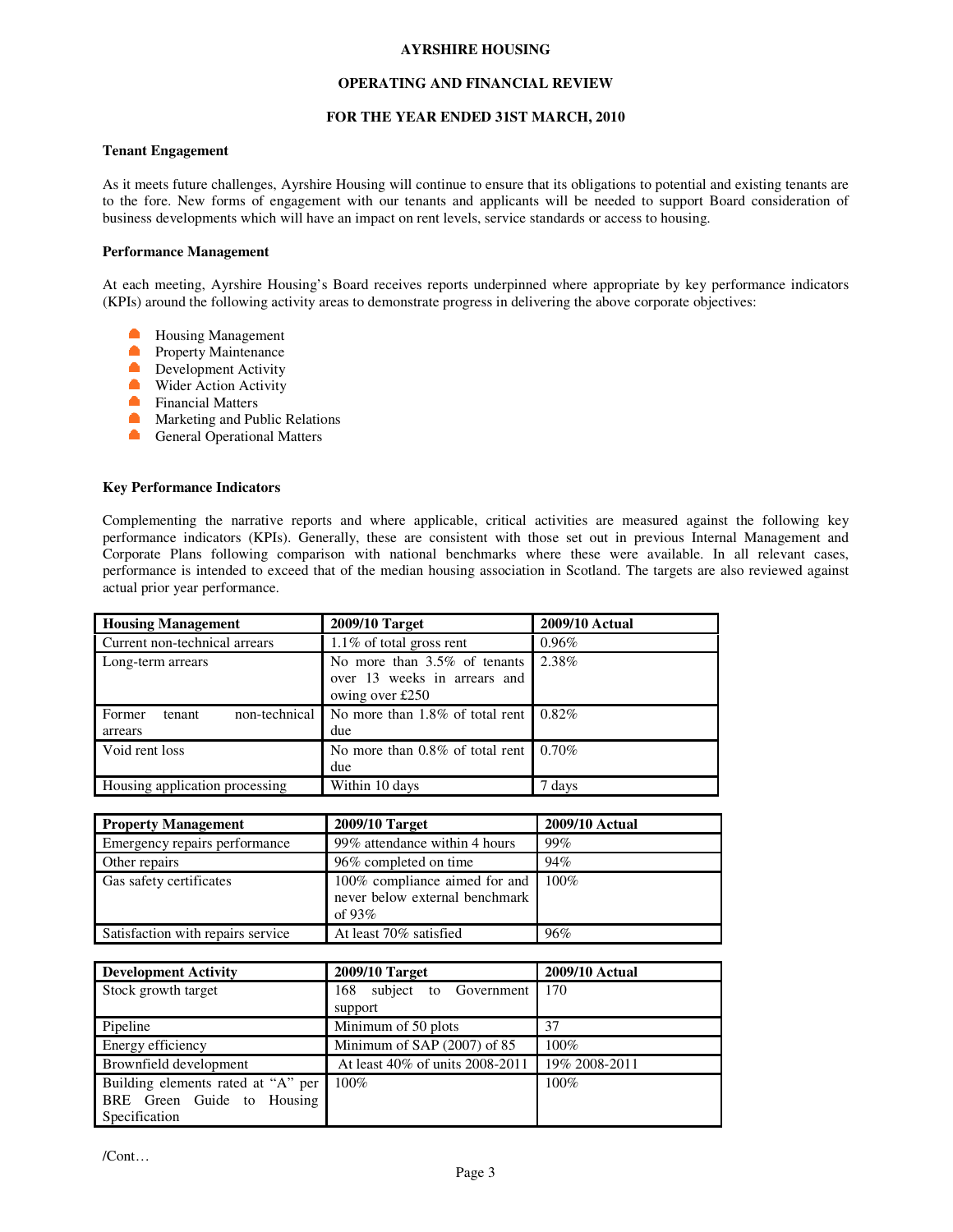# **OPERATING AND FINANCIAL REVIEW**

# **FOR THE YEAR ENDED 31ST MARCH, 2010**

### **Tenant Engagement**

As it meets future challenges, Ayrshire Housing will continue to ensure that its obligations to potential and existing tenants are to the fore. New forms of engagement with our tenants and applicants will be needed to support Board consideration of business developments which will have an impact on rent levels, service standards or access to housing.

### **Performance Management**

At each meeting, Ayrshire Housing's Board receives reports underpinned where appropriate by key performance indicators (KPIs) around the following activity areas to demonstrate progress in delivering the above corporate objectives:

- Housing Management
- $\triangle$ Property Maintenance
- $\triangle$ Development Activity
- $\triangle$ Wider Action Activity
- **Financial Matters**
- $\blacktriangle$ Marketing and Public Relations
- $\bullet$ General Operational Matters

### **Key Performance Indicators**

Complementing the narrative reports and where applicable, critical activities are measured against the following key performance indicators (KPIs). Generally, these are consistent with those set out in previous Internal Management and Corporate Plans following comparison with national benchmarks where these were available. In all relevant cases, performance is intended to exceed that of the median housing association in Scotland. The targets are also reviewed against actual prior year performance.

| <b>Housing Management</b>                    | 2009/10 Target                                                                     | <b>2009/10 Actual</b> |
|----------------------------------------------|------------------------------------------------------------------------------------|-----------------------|
| Current non-technical arrears                | $1.1\%$ of total gross rent                                                        | 0.96%                 |
| Long-term arrears                            | No more than $3.5\%$ of tenants<br>over 13 weeks in arrears and<br>owing over £250 | 2.38%                 |
| non-technical<br>Former<br>tenant<br>arrears | No more than $1.8\%$ of total rent 0.82%<br>due                                    |                       |
| Void rent loss                               | No more than $0.8\%$ of total rent $\vert 0.70\% \rangle$<br>due                   |                       |
| Housing application processing               | Within 10 days                                                                     | 7 days                |

| <b>Property Management</b>        | 2009/10 Target                                                                  | <b>2009/10 Actual</b> |
|-----------------------------------|---------------------------------------------------------------------------------|-----------------------|
| Emergency repairs performance     | 99% attendance within 4 hours                                                   | 99%                   |
| Other repairs                     | 96% completed on time                                                           | 94%                   |
| Gas safety certificates           | 100% compliance aimed for and 100%<br>never below external benchmark<br>of 93\% |                       |
| Satisfaction with repairs service | At least 70% satisfied                                                          | 96%                   |

| <b>Development Activity</b>        | 2009/10 Target                   | <b>2009/10 Actual</b> |
|------------------------------------|----------------------------------|-----------------------|
| Stock growth target                | subject to Government 170<br>168 |                       |
|                                    | support                          |                       |
| Pipeline                           | Minimum of 50 plots              | 37                    |
| Energy efficiency                  | Minimum of SAP $(2007)$ of 85    | 100%                  |
| Brownfield development             | At least 40\% of units 2008-2011 | 19% 2008-2011         |
| Building elements rated at "A" per | $100\%$                          | 100%                  |
| BRE Green Guide to Housing         |                                  |                       |
| Specification                      |                                  |                       |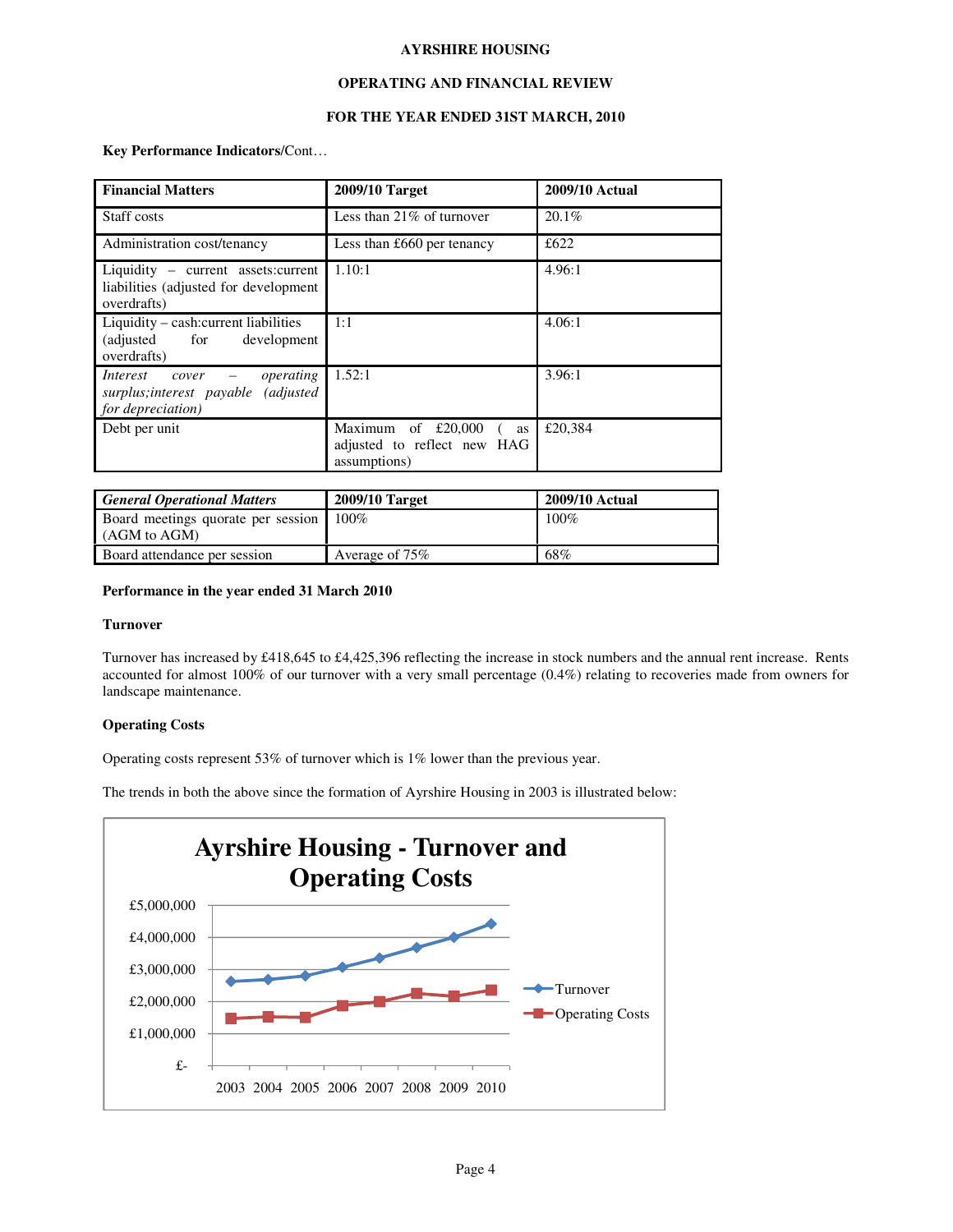# **OPERATING AND FINANCIAL REVIEW**

# **FOR THE YEAR ENDED 31ST MARCH, 2010**

# **Key Performance Indicators**/Cont…

| <b>Financial Matters</b>                                                                                            | 2009/10 Target                                                              | <b>2009/10 Actual</b> |
|---------------------------------------------------------------------------------------------------------------------|-----------------------------------------------------------------------------|-----------------------|
| Staff costs                                                                                                         | Less than $21\%$ of turnover                                                | $20.1\%$              |
| Administration cost/tenancy                                                                                         | Less than $£660$ per tenancy                                                | £622                  |
| $Liquidity$ – current assets: current<br>liabilities (adjusted for development<br>overdrafts)                       | 1.10:1                                                                      | 4.96:1                |
| Liquidity – cash: current liabilities<br>(adjusted for<br>development<br>overdrafts)                                | 1:1                                                                         | 4.06:1                |
| operating<br>Interest cover<br>$\overline{\phantom{m}}$<br>surplus; interest payable (adjusted<br>for depreciation) | 1.52:1                                                                      | 3.96:1                |
| Debt per unit                                                                                                       | Maximum of $£20,000$<br>( as<br>adjusted to reflect new HAG<br>assumptions) | £20,384               |

| <b>General Operational Matters</b> | 2009/10 Target    | <b>2009/10 Actual</b> |
|------------------------------------|-------------------|-----------------------|
| Board meetings quorate per session | $100\%$           | $100\%$               |
| (AGM to AGM)                       |                   |                       |
| Board attendance per session       | Average of $75\%$ | 68%                   |

# **Performance in the year ended 31 March 2010**

### **Turnover**

Turnover has increased by £418,645 to £4,425,396 reflecting the increase in stock numbers and the annual rent increase. Rents accounted for almost 100% of our turnover with a very small percentage (0.4%) relating to recoveries made from owners for landscape maintenance.

## **Operating Costs**

Operating costs represent 53% of turnover which is 1% lower than the previous year.

The trends in both the above since the formation of Ayrshire Housing in 2003 is illustrated below:

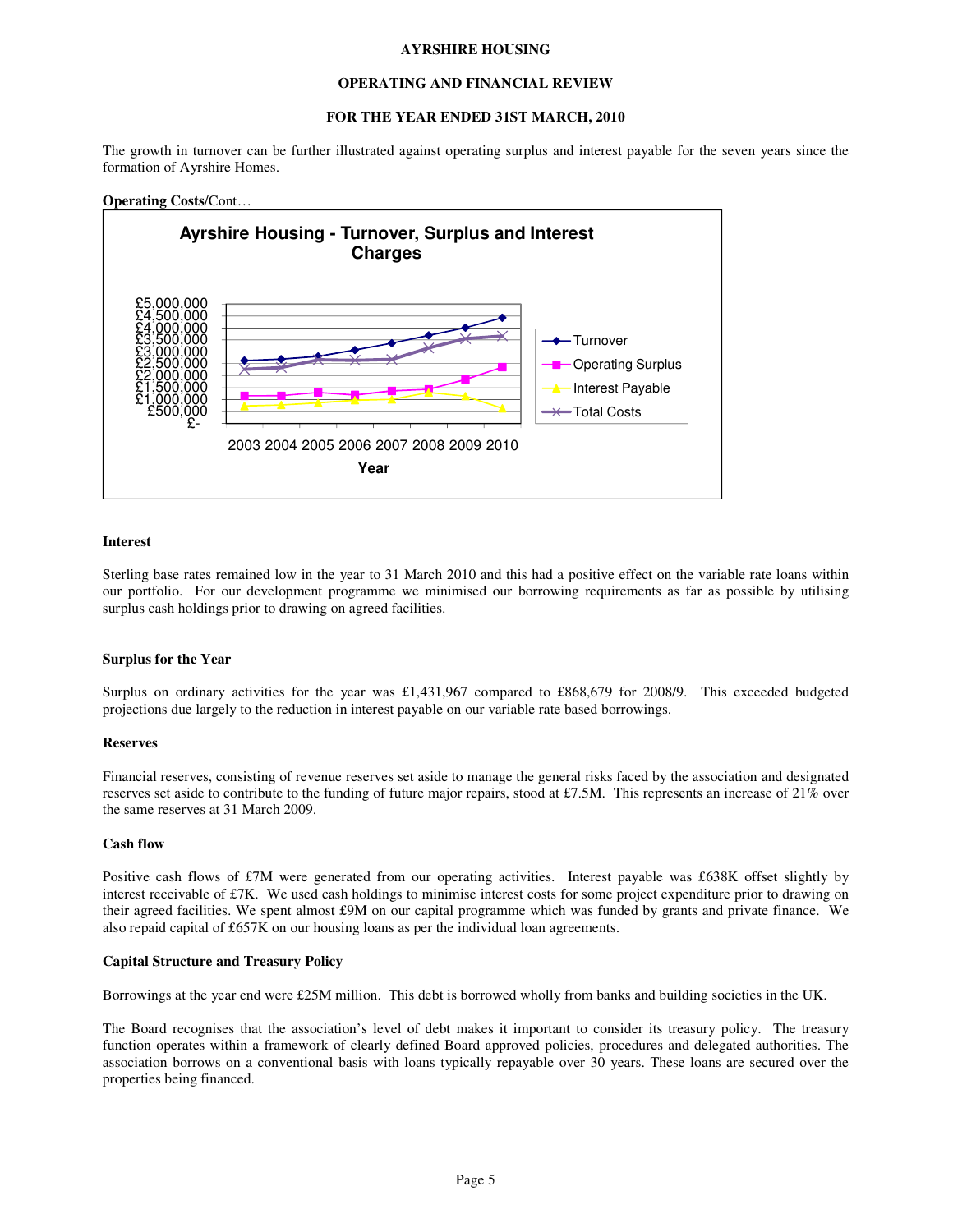### **OPERATING AND FINANCIAL REVIEW**

### **FOR THE YEAR ENDED 31ST MARCH, 2010**

The growth in turnover can be further illustrated against operating surplus and interest payable for the seven years since the formation of Ayrshire Homes.

### **Operating Costs**/Cont…



### **Interest**

Sterling base rates remained low in the year to 31 March 2010 and this had a positive effect on the variable rate loans within our portfolio. For our development programme we minimised our borrowing requirements as far as possible by utilising surplus cash holdings prior to drawing on agreed facilities.

### **Surplus for the Year**

Surplus on ordinary activities for the year was £1,431,967 compared to £868,679 for 2008/9. This exceeded budgeted projections due largely to the reduction in interest payable on our variable rate based borrowings.

#### **Reserves**

Financial reserves, consisting of revenue reserves set aside to manage the general risks faced by the association and designated reserves set aside to contribute to the funding of future major repairs, stood at £7.5M. This represents an increase of 21% over the same reserves at 31 March 2009.

### **Cash flow**

Positive cash flows of £7M were generated from our operating activities. Interest payable was £638K offset slightly by interest receivable of £7K. We used cash holdings to minimise interest costs for some project expenditure prior to drawing on their agreed facilities. We spent almost £9M on our capital programme which was funded by grants and private finance. We also repaid capital of £657K on our housing loans as per the individual loan agreements.

### **Capital Structure and Treasury Policy**

Borrowings at the year end were £25M million. This debt is borrowed wholly from banks and building societies in the UK.

The Board recognises that the association's level of debt makes it important to consider its treasury policy. The treasury function operates within a framework of clearly defined Board approved policies, procedures and delegated authorities. The association borrows on a conventional basis with loans typically repayable over 30 years. These loans are secured over the properties being financed.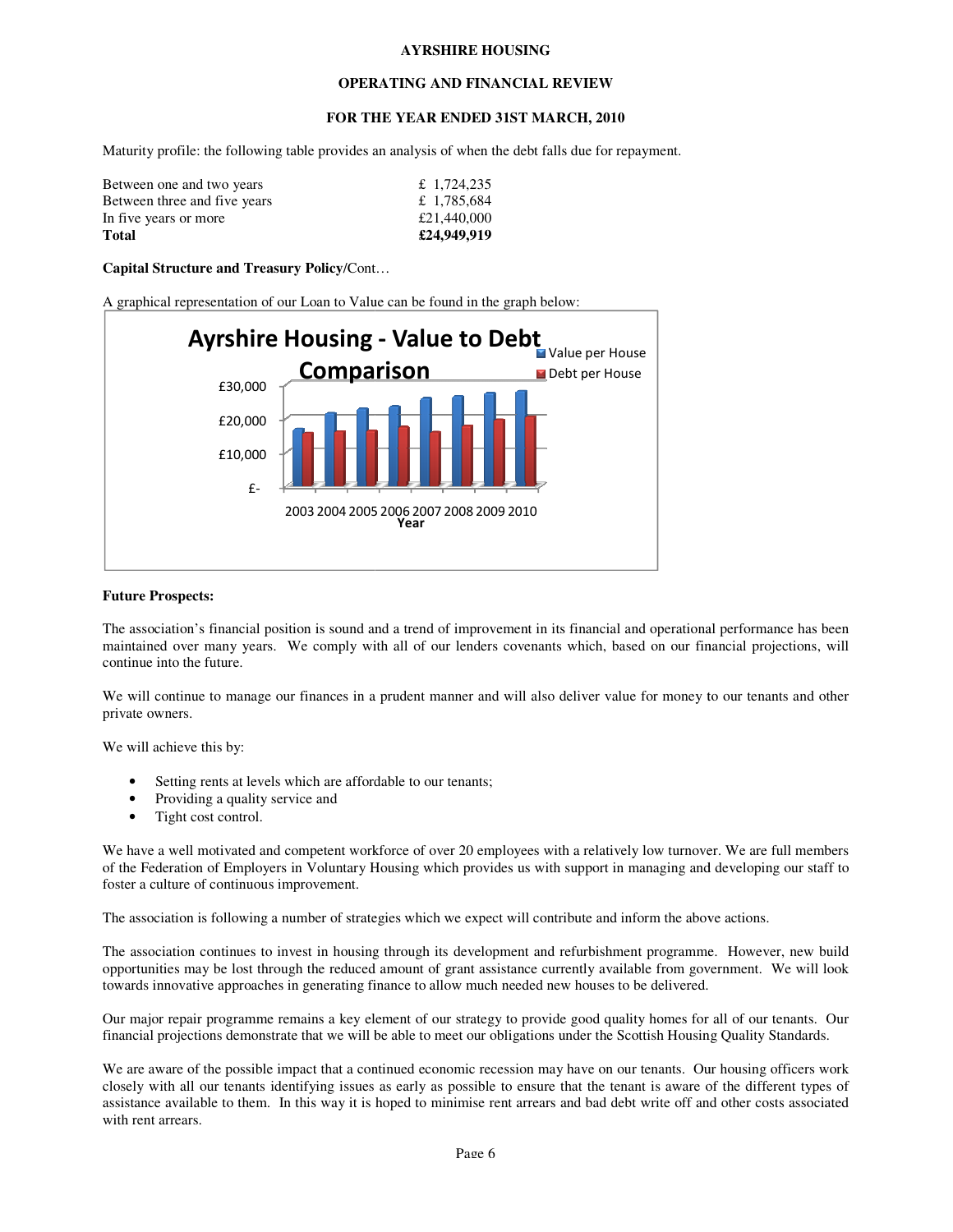### **OPERATING AND FINANCIAL REVIEW**

### **FOR THE YEAR ENDED 31ST MARCH, 2010**

Maturity profile: the following table provides an analysis of when the debt falls due for repayment.<br>Between one and two years  $\pm 1,724,235$ 

| Between one and two years    | £ 1.724,235 |
|------------------------------|-------------|
| Between three and five years | £ 1.785.684 |
| In five years or more        | £21,440,000 |
| <b>Total</b>                 | £24,949,919 |

### **Capital Structure and Treasury Policy**/Cont…

A graphical representation of our Loan to Value can be found in the graph below:



### **Future Prospects:**

The association's financial position is sound and a trend of improvement in its financial and operational performance has been maintained over many years. We comply with all of our lenders covenants which, based on our financial projections, will continue into the future. maintained over many years. We comply with all of our lenders covenants which, based on our financial projections, will<br>continue into the future.<br>We will continue to manage our finances in a prudent manner and will also de

private owners.

We will achieve this by:

- Setting rents at levels which are affordable to our tenants;
- Providing a quality service and
- Tight cost control.

• Setting rents at levels which are affordable to our tenants;<br>• Providing a quality service and<br>• Tight cost control.<br>We have a well motivated and competent workforce of over 20 employees with a relatively low turnover. W of the Federation of Employers in Voluntary Housing which provides us with support in managing and developing our staff to foster a culture of continuous improvement. is continual to manage our finances in a prudent manner and will also deliver value for money to our tenants and other<br>
"Will achieve this by:<br>
Servill achieve this by:<br>
Serviding a quality service and<br>
"Providing a qualit

The association is following a number of strategies which we expect will contribute and inform the above actions.

The association continues to invest in housing through its development and refurbishment programme. However, new build opportunities may be lost through the reduced amount of grant assistance currently available from government. We will look towards innovative approaches in generating finance to allow much needed new houses to be delivered. of Employers in Voluntary Housing which provides us with support in managing and developing our staff to<br>f continuous improvement.<br>s following a number of strategies which we expect will contribute and inform the above act

Our major repair programme remains a key element of our strategy to provide good quality homes for all of our tenants. Our financial projections demonstrate that we will be able to meet our obligations under the Scottish Housing Quality Standards.

financial projections demonstrate that we will be able to meet our obligations under the Scottish Housing Quality Standards.<br>We are aware of the possible impact that a continued economic recession may have on our tenants. closely with all our tenants identifying issues as early as possible to ensure that the tenant is aware of the different types of closely with all our tenants identifying issues as early as possible to ensure that the tenant is aware of the different types of assistance available to them. In this way it is hoped to minimise rent arrears and bad debt with rent arrears.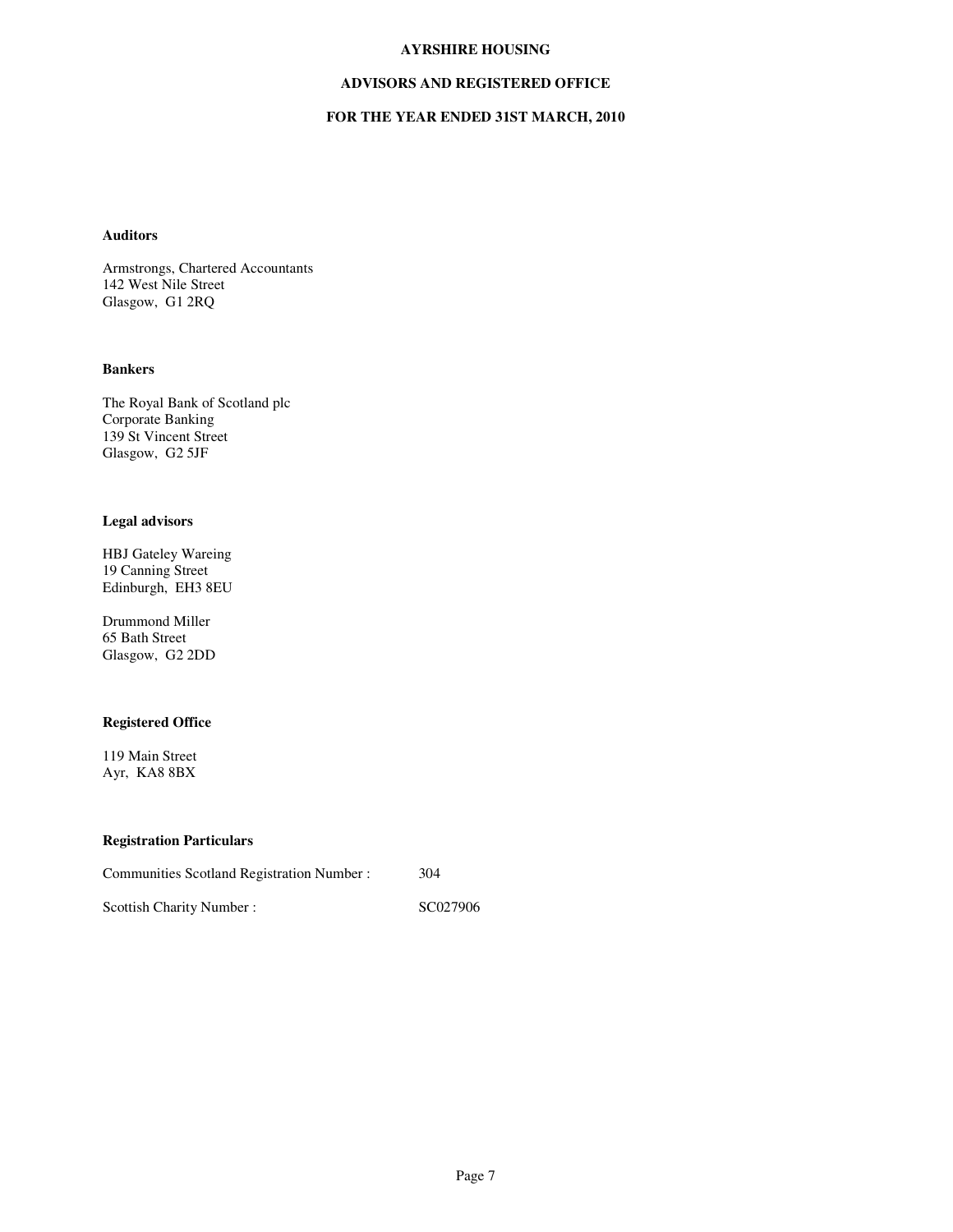# **ADVISORS AND REGISTERED OFFICE**

### **FOR THE YEAR ENDED 31ST MARCH, 2010**

# **Auditors**

Armstrongs, Chartered Accountants 142 West Nile Street Glasgow, G1 2RQ

### **Bankers**

The Royal Bank of Scotland plc Corporate Banking 139 St Vincent Street Glasgow, G2 5JF

# **Legal advisors**

HBJ Gateley Wareing 19 Canning Street Edinburgh, EH3 8EU

Drummond Miller 65 Bath Street Glasgow, G2 2DD

# **Registered Office**

119 Main Street Ayr, KA8 8BX

# **Registration Particulars**

Communities Scotland Registration Number : 304

Scottish Charity Number : SC027906

Page 7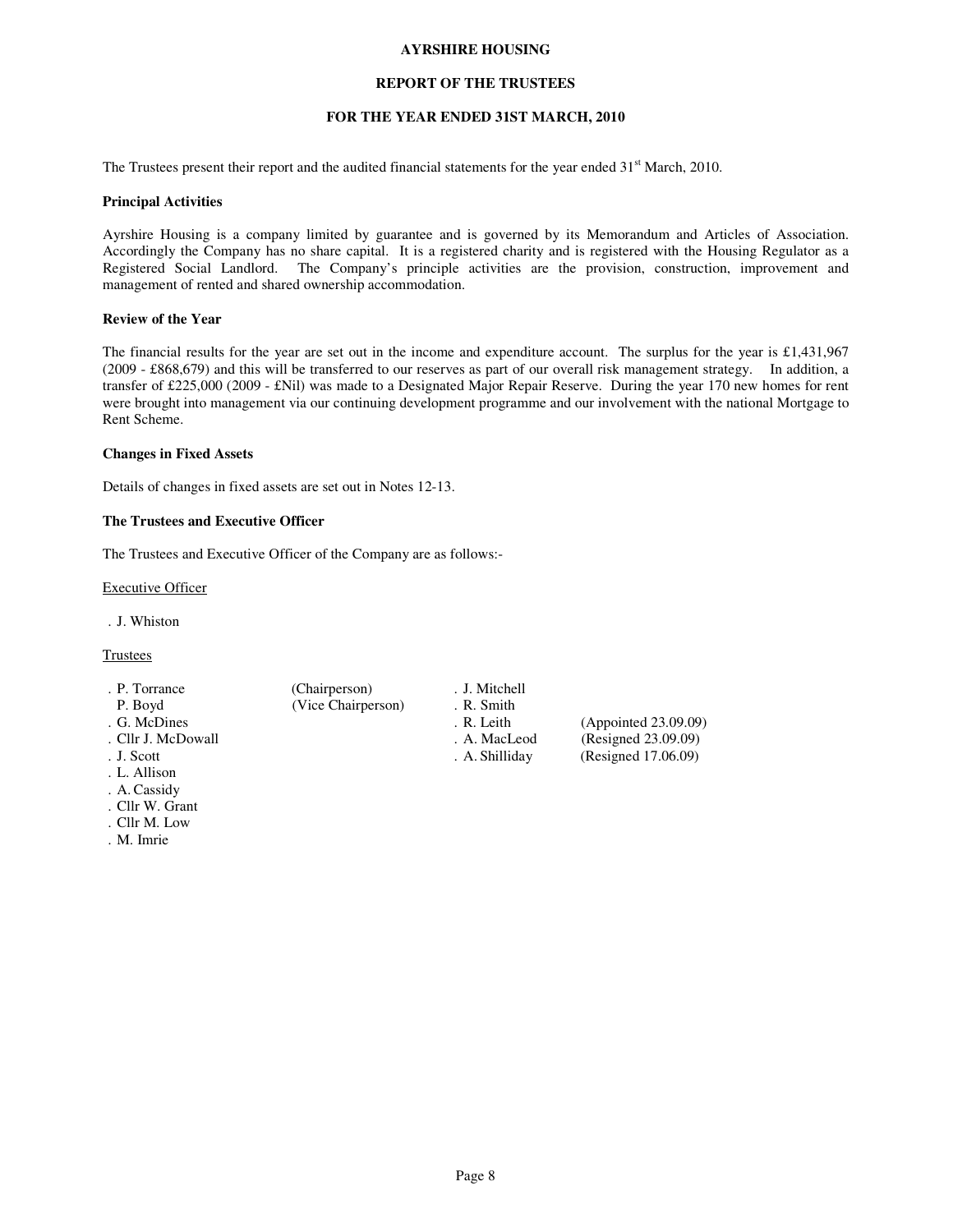# **REPORT OF THE TRUSTEES**

# **FOR THE YEAR ENDED 31ST MARCH, 2010**

The Trustees present their report and the audited financial statements for the year ended  $31<sup>st</sup>$  March, 2010.

### **Principal Activities**

Ayrshire Housing is a company limited by guarantee and is governed by its Memorandum and Articles of Association. Accordingly the Company has no share capital. It is a registered charity and is registered with the Housing Regulator as a Registered Social Landlord. The Company's principle activities are the provision, construction, improvement and management of rented and shared ownership accommodation.

### **Review of the Year**

The financial results for the year are set out in the income and expenditure account. The surplus for the year is £1,431,967 (2009 - £868,679) and this will be transferred to our reserves as part of our overall risk management strategy. In addition, a transfer of £225,000 (2009 - £Nil) was made to a Designated Major Repair Reserve. During the year 170 new homes for rent were brought into management via our continuing development programme and our involvement with the national Mortgage to Rent Scheme.

### **Changes in Fixed Assets**

Details of changes in fixed assets are set out in Notes 12-13.

### **The Trustees and Executive Officer**

The Trustees and Executive Officer of the Company are as follows:-

Executive Officer

. Cllr W. Grant . Cllr M. Low . M. Imrie

. J. Whiston

**Trustees** 

| . P. Torrance      | (Chairperson)      | . J. Mitchell  |                      |
|--------------------|--------------------|----------------|----------------------|
| P. Boyd            | (Vice Chairperson) | . R. Smith     |                      |
| . G. McDines       |                    | . R. Leith     | (Appointed 23.09.09) |
| . Cllr J. McDowall |                    | . A. MacLeod   | (Resigned 23.09.09)  |
| . J. Scott         |                    | . A. Shilliday | (Resigned 17.06.09)  |
| . L. Allison       |                    |                |                      |
| . A. Cassidy       |                    |                |                      |

Page 8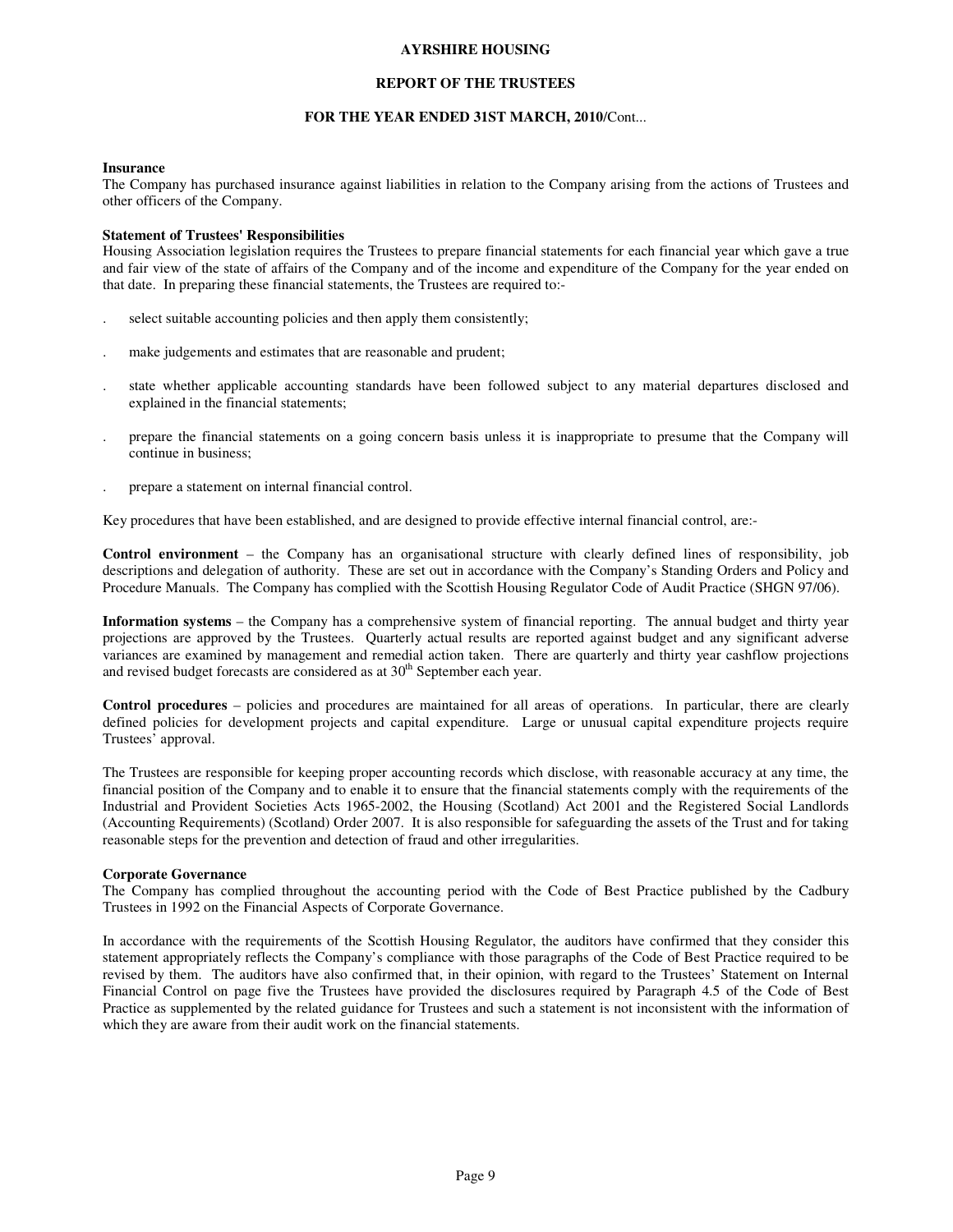### **REPORT OF THE TRUSTEES**

### **FOR THE YEAR ENDED 31ST MARCH, 2010**/Cont...

### **Insurance**

The Company has purchased insurance against liabilities in relation to the Company arising from the actions of Trustees and other officers of the Company.

### **Statement of Trustees' Responsibilities**

Housing Association legislation requires the Trustees to prepare financial statements for each financial year which gave a true and fair view of the state of affairs of the Company and of the income and expenditure of the Company for the year ended on that date. In preparing these financial statements, the Trustees are required to:-

- . select suitable accounting policies and then apply them consistently;
- . make judgements and estimates that are reasonable and prudent;
- . state whether applicable accounting standards have been followed subject to any material departures disclosed and explained in the financial statements;
- . prepare the financial statements on a going concern basis unless it is inappropriate to presume that the Company will continue in business;
- . prepare a statement on internal financial control.

Key procedures that have been established, and are designed to provide effective internal financial control, are:-

**Control environment** – the Company has an organisational structure with clearly defined lines of responsibility, job descriptions and delegation of authority. These are set out in accordance with the Company's Standing Orders and Policy and Procedure Manuals. The Company has complied with the Scottish Housing Regulator Code of Audit Practice (SHGN 97/06).

**Information systems** – the Company has a comprehensive system of financial reporting. The annual budget and thirty year projections are approved by the Trustees. Quarterly actual results are reported against budget and any significant adverse variances are examined by management and remedial action taken. There are quarterly and thirty year cashflow projections and revised budget forecasts are considered as at  $30<sup>th</sup>$  September each year.

**Control procedures** – policies and procedures are maintained for all areas of operations. In particular, there are clearly defined policies for development projects and capital expenditure. Large or unusual capital expenditure projects require Trustees' approval.

The Trustees are responsible for keeping proper accounting records which disclose, with reasonable accuracy at any time, the financial position of the Company and to enable it to ensure that the financial statements comply with the requirements of the Industrial and Provident Societies Acts 1965-2002, the Housing (Scotland) Act 2001 and the Registered Social Landlords (Accounting Requirements) (Scotland) Order 2007. It is also responsible for safeguarding the assets of the Trust and for taking reasonable steps for the prevention and detection of fraud and other irregularities.

#### **Corporate Governance**

The Company has complied throughout the accounting period with the Code of Best Practice published by the Cadbury Trustees in 1992 on the Financial Aspects of Corporate Governance.

In accordance with the requirements of the Scottish Housing Regulator, the auditors have confirmed that they consider this statement appropriately reflects the Company's compliance with those paragraphs of the Code of Best Practice required to be revised by them. The auditors have also confirmed that, in their opinion, with regard to the Trustees' Statement on Internal Financial Control on page five the Trustees have provided the disclosures required by Paragraph 4.5 of the Code of Best Practice as supplemented by the related guidance for Trustees and such a statement is not inconsistent with the information of which they are aware from their audit work on the financial statements.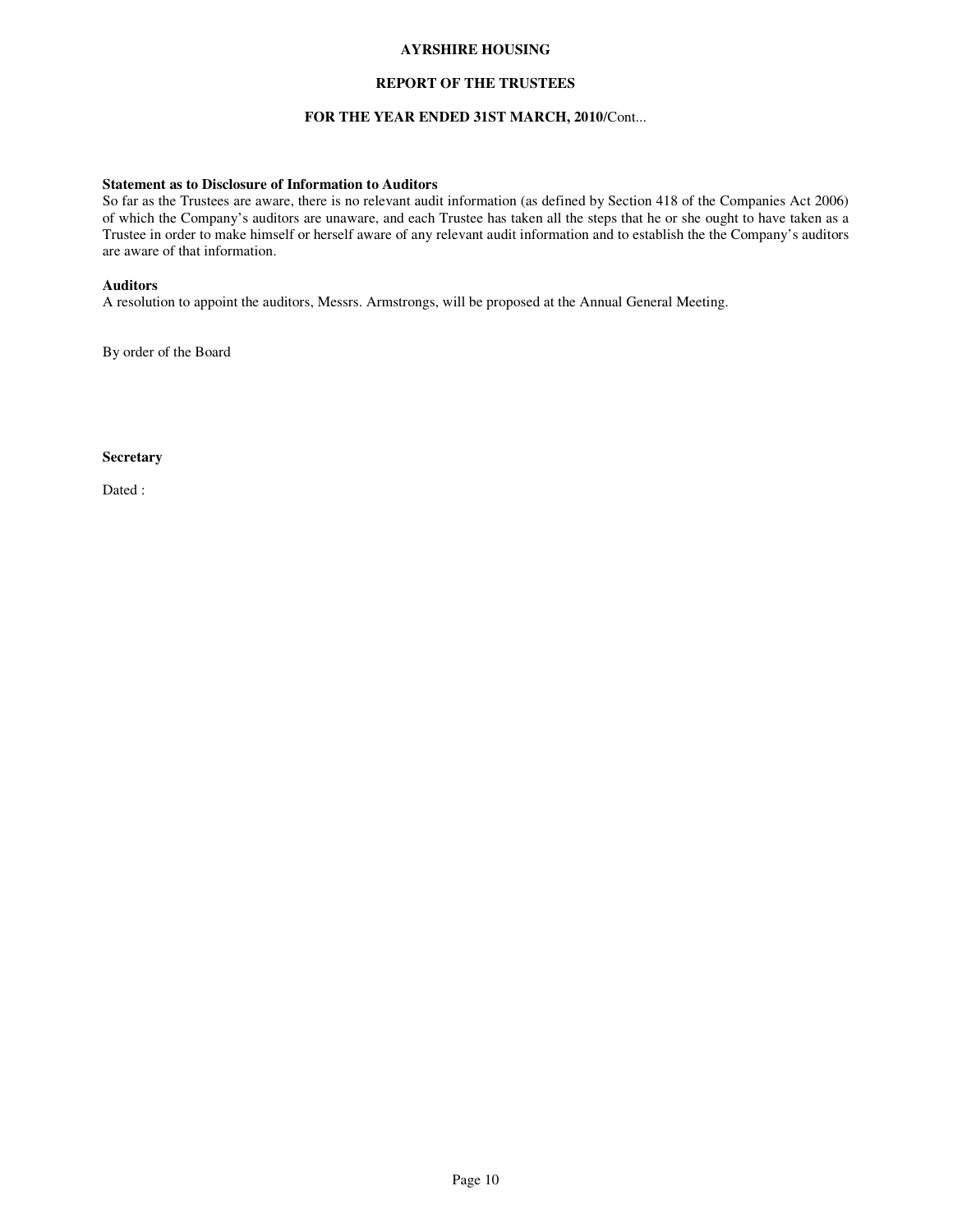### **REPORT OF THE TRUSTEES**

# **FOR THE YEAR ENDED 31ST MARCH, 2010**/Cont...

# **Statement as to Disclosure of Information to Auditors**

So far as the Trustees are aware, there is no relevant audit information (as defined by Section 418 of the Companies Act 2006) of which the Company's auditors are unaware, and each Trustee has taken all the steps that he or she ought to have taken as a Trustee in order to make himself or herself aware of any relevant audit information and to establish the the Company's auditors are aware of that information.

# **Auditors**

A resolution to appoint the auditors, Messrs. Armstrongs, will be proposed at the Annual General Meeting.

By order of the Board

# **Secretary**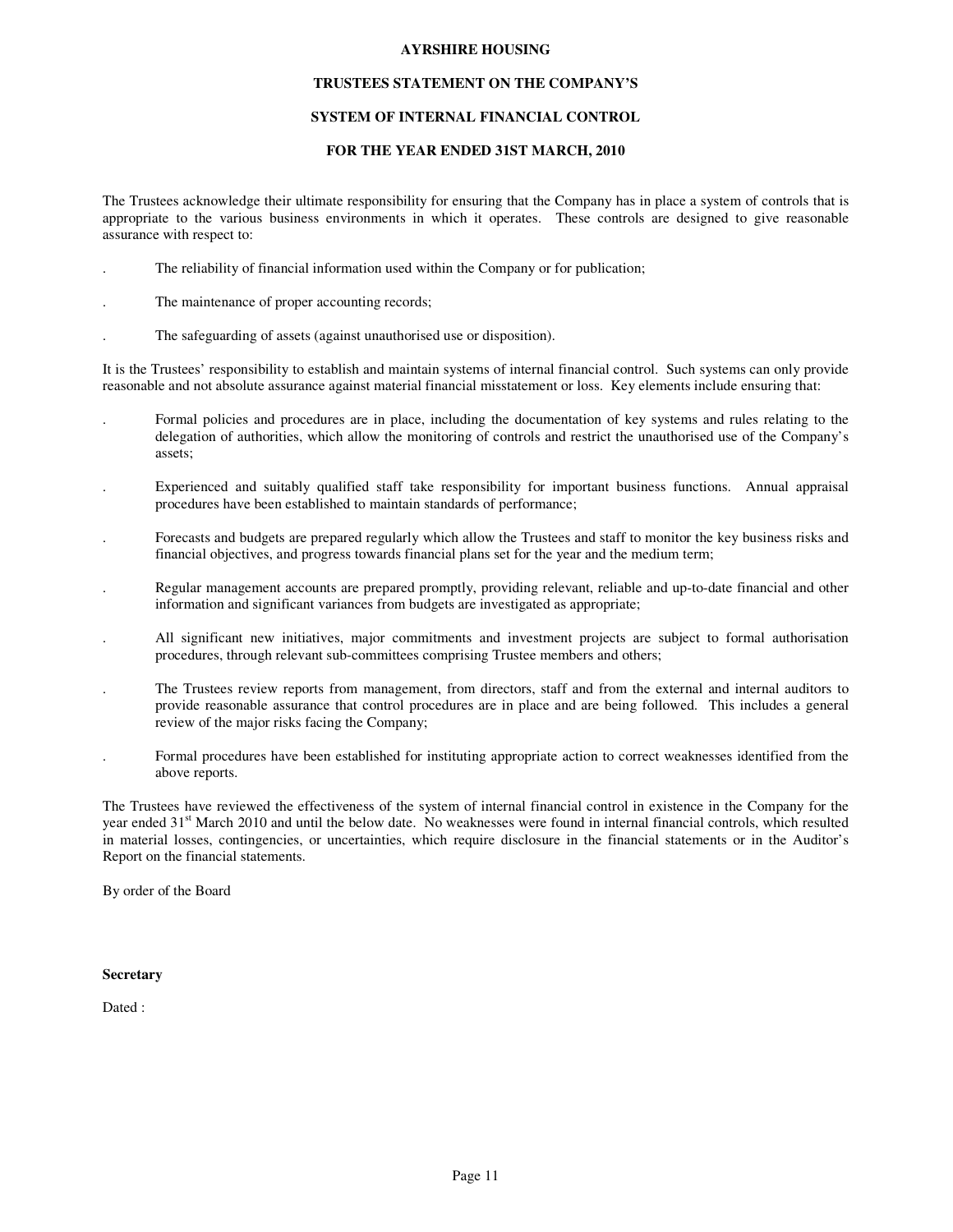### **TRUSTEES STATEMENT ON THE COMPANY'S**

# **SYSTEM OF INTERNAL FINANCIAL CONTROL**

### **FOR THE YEAR ENDED 31ST MARCH, 2010**

The Trustees acknowledge their ultimate responsibility for ensuring that the Company has in place a system of controls that is appropriate to the various business environments in which it operates. These controls are designed to give reasonable assurance with respect to:

- . The reliability of financial information used within the Company or for publication;
- . The maintenance of proper accounting records;
- . The safeguarding of assets (against unauthorised use or disposition).

It is the Trustees' responsibility to establish and maintain systems of internal financial control. Such systems can only provide reasonable and not absolute assurance against material financial misstatement or loss. Key elements include ensuring that:

- . Formal policies and procedures are in place, including the documentation of key systems and rules relating to the delegation of authorities, which allow the monitoring of controls and restrict the unauthorised use of the Company's assets;
- . Experienced and suitably qualified staff take responsibility for important business functions. Annual appraisal procedures have been established to maintain standards of performance;
- . Forecasts and budgets are prepared regularly which allow the Trustees and staff to monitor the key business risks and financial objectives, and progress towards financial plans set for the year and the medium term;
- . Regular management accounts are prepared promptly, providing relevant, reliable and up-to-date financial and other information and significant variances from budgets are investigated as appropriate;
- . All significant new initiatives, major commitments and investment projects are subject to formal authorisation procedures, through relevant sub-committees comprising Trustee members and others;
- . The Trustees review reports from management, from directors, staff and from the external and internal auditors to provide reasonable assurance that control procedures are in place and are being followed. This includes a general review of the major risks facing the Company;
- . Formal procedures have been established for instituting appropriate action to correct weaknesses identified from the above reports.

The Trustees have reviewed the effectiveness of the system of internal financial control in existence in the Company for the year ended 31<sup>st</sup> March 2010 and until the below date. No weaknesses were found in internal financial controls, which resulted in material losses, contingencies, or uncertainties, which require disclosure in the financial statements or in the Auditor's Report on the financial statements.

By order of the Board

# **Secretary**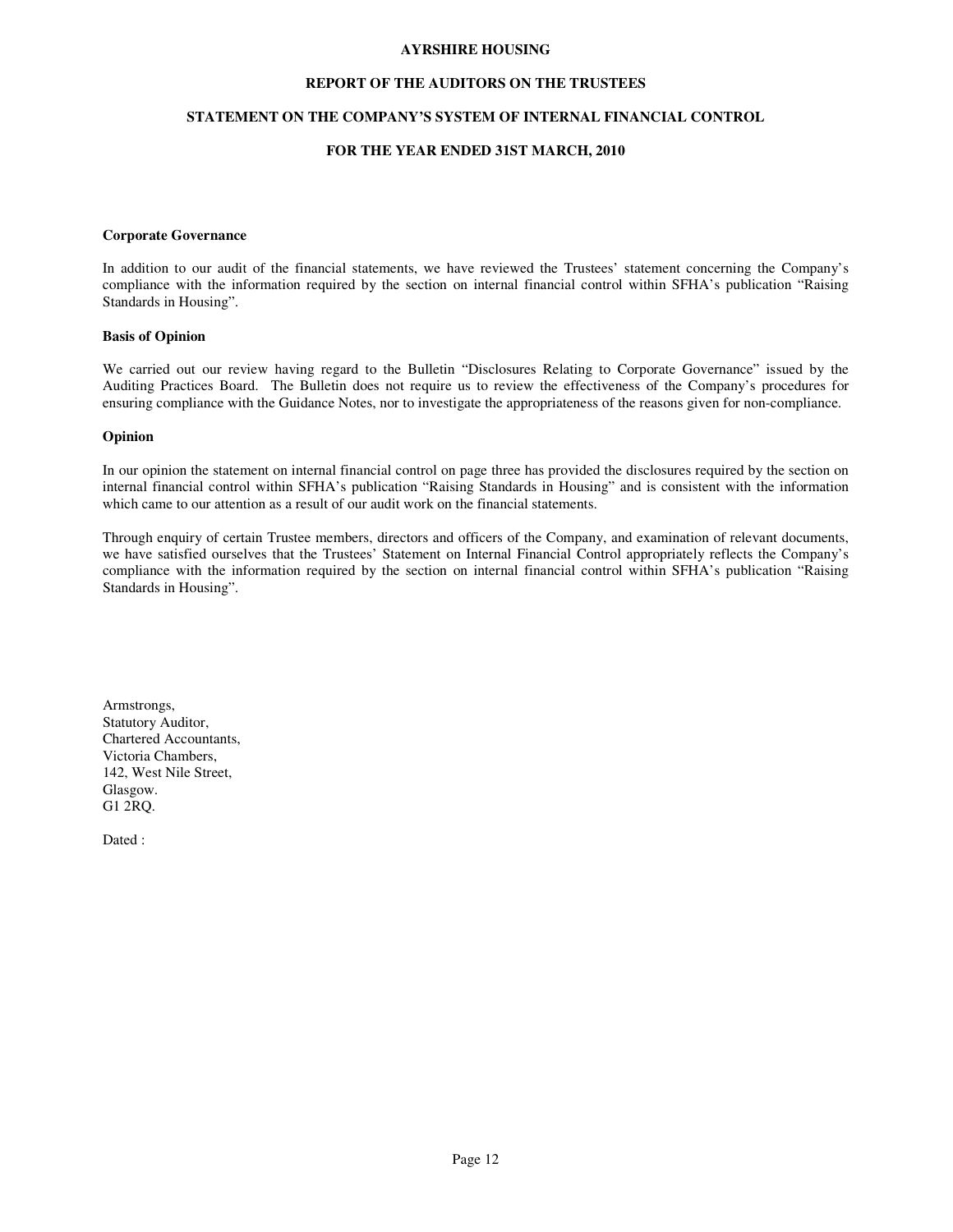### **REPORT OF THE AUDITORS ON THE TRUSTEES**

### **STATEMENT ON THE COMPANY'S SYSTEM OF INTERNAL FINANCIAL CONTROL**

## **FOR THE YEAR ENDED 31ST MARCH, 2010**

### **Corporate Governance**

In addition to our audit of the financial statements, we have reviewed the Trustees' statement concerning the Company's compliance with the information required by the section on internal financial control within SFHA's publication "Raising Standards in Housing".

### **Basis of Opinion**

We carried out our review having regard to the Bulletin "Disclosures Relating to Corporate Governance" issued by the Auditing Practices Board. The Bulletin does not require us to review the effectiveness of the Company's procedures for ensuring compliance with the Guidance Notes, nor to investigate the appropriateness of the reasons given for non-compliance.

### **Opinion**

In our opinion the statement on internal financial control on page three has provided the disclosures required by the section on internal financial control within SFHA's publication "Raising Standards in Housing" and is consistent with the information which came to our attention as a result of our audit work on the financial statements.

Through enquiry of certain Trustee members, directors and officers of the Company, and examination of relevant documents, we have satisfied ourselves that the Trustees' Statement on Internal Financial Control appropriately reflects the Company's compliance with the information required by the section on internal financial control within SFHA's publication "Raising Standards in Housing".

Armstrongs, Statutory Auditor, Chartered Accountants, Victoria Chambers, 142, West Nile Street, Glasgow. G1 2RQ.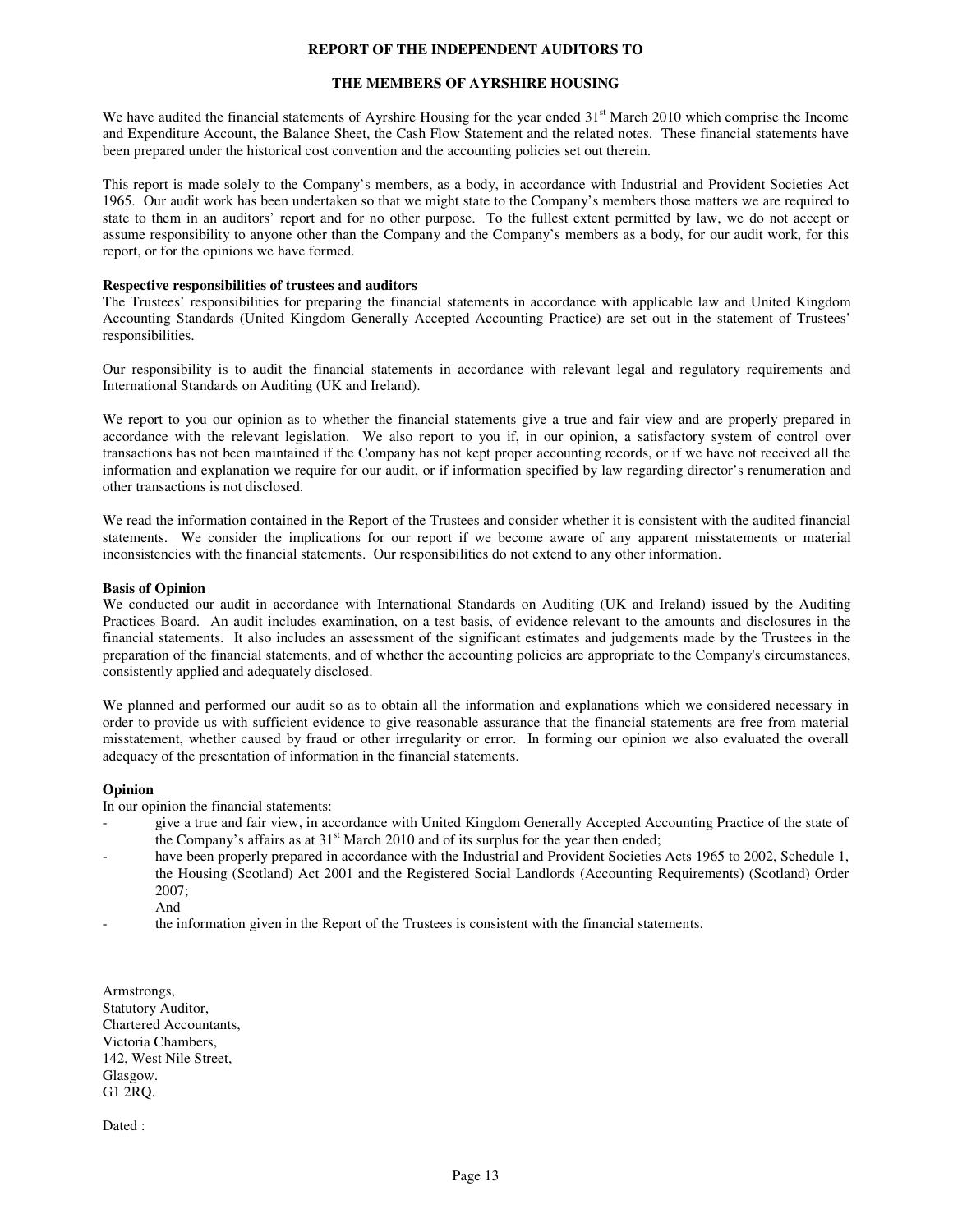### **REPORT OF THE INDEPENDENT AUDITORS TO**

### **THE MEMBERS OF AYRSHIRE HOUSING**

We have audited the financial statements of Ayrshire Housing for the year ended  $31<sup>st</sup>$  March 2010 which comprise the Income and Expenditure Account, the Balance Sheet, the Cash Flow Statement and the related notes. These financial statements have been prepared under the historical cost convention and the accounting policies set out therein.

This report is made solely to the Company's members, as a body, in accordance with Industrial and Provident Societies Act 1965. Our audit work has been undertaken so that we might state to the Company's members those matters we are required to state to them in an auditors' report and for no other purpose. To the fullest extent permitted by law, we do not accept or assume responsibility to anyone other than the Company and the Company's members as a body, for our audit work, for this report, or for the opinions we have formed.

### **Respective responsibilities of trustees and auditors**

The Trustees' responsibilities for preparing the financial statements in accordance with applicable law and United Kingdom Accounting Standards (United Kingdom Generally Accepted Accounting Practice) are set out in the statement of Trustees' responsibilities.

Our responsibility is to audit the financial statements in accordance with relevant legal and regulatory requirements and International Standards on Auditing (UK and Ireland).

We report to you our opinion as to whether the financial statements give a true and fair view and are properly prepared in accordance with the relevant legislation. We also report to you if, in our opinion, a satisfactory system of control over transactions has not been maintained if the Company has not kept proper accounting records, or if we have not received all the information and explanation we require for our audit, or if information specified by law regarding director's renumeration and other transactions is not disclosed.

We read the information contained in the Report of the Trustees and consider whether it is consistent with the audited financial statements. We consider the implications for our report if we become aware of any apparent misstatements or material inconsistencies with the financial statements. Our responsibilities do not extend to any other information.

# **Basis of Opinion**

We conducted our audit in accordance with International Standards on Auditing (UK and Ireland) issued by the Auditing Practices Board. An audit includes examination, on a test basis, of evidence relevant to the amounts and disclosures in the financial statements. It also includes an assessment of the significant estimates and judgements made by the Trustees in the preparation of the financial statements, and of whether the accounting policies are appropriate to the Company's circumstances, consistently applied and adequately disclosed.

We planned and performed our audit so as to obtain all the information and explanations which we considered necessary in order to provide us with sufficient evidence to give reasonable assurance that the financial statements are free from material misstatement, whether caused by fraud or other irregularity or error. In forming our opinion we also evaluated the overall adequacy of the presentation of information in the financial statements.

# **Opinion**

In our opinion the financial statements:

- give a true and fair view, in accordance with United Kingdom Generally Accepted Accounting Practice of the state of the Company's affairs as at  $31<sup>st</sup>$  March 2010 and of its surplus for the year then ended;
- have been properly prepared in accordance with the Industrial and Provident Societies Acts 1965 to 2002, Schedule 1, the Housing (Scotland) Act 2001 and the Registered Social Landlords (Accounting Requirements) (Scotland) Order 2007;
	- And
- the information given in the Report of the Trustees is consistent with the financial statements.

Armstrongs, Statutory Auditor, Chartered Accountants, Victoria Chambers, 142, West Nile Street, Glasgow. G1 2RQ.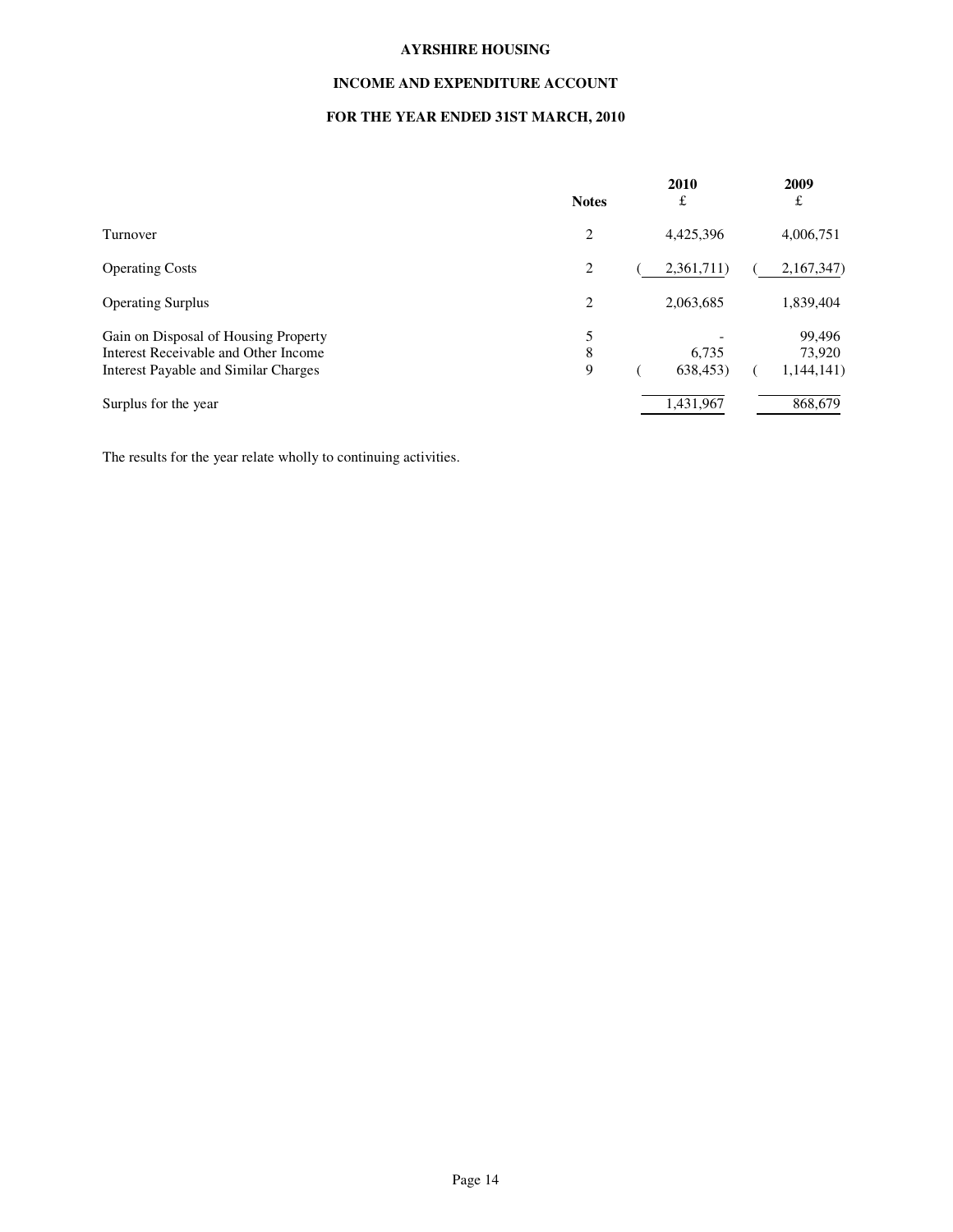# **INCOME AND EXPENDITURE ACCOUNT**

# **FOR THE YEAR ENDED 31ST MARCH, 2010**

|                                                                                                                      | <b>Notes</b> | 2010<br>£         | 2009<br>£                      |
|----------------------------------------------------------------------------------------------------------------------|--------------|-------------------|--------------------------------|
| Turnover                                                                                                             | 2            | 4,425,396         | 4,006,751                      |
| <b>Operating Costs</b>                                                                                               | 2            | 2,361,711)        | 2,167,347)                     |
| <b>Operating Surplus</b>                                                                                             | 2            | 2,063,685         | 1,839,404                      |
| Gain on Disposal of Housing Property<br>Interest Receivable and Other Income<br>Interest Payable and Similar Charges | 5<br>8<br>9  | 6.735<br>638,453) | 99,496<br>73,920<br>1,144,141) |
| Surplus for the year                                                                                                 |              | 1,431,967         | 868,679                        |

The results for the year relate wholly to continuing activities.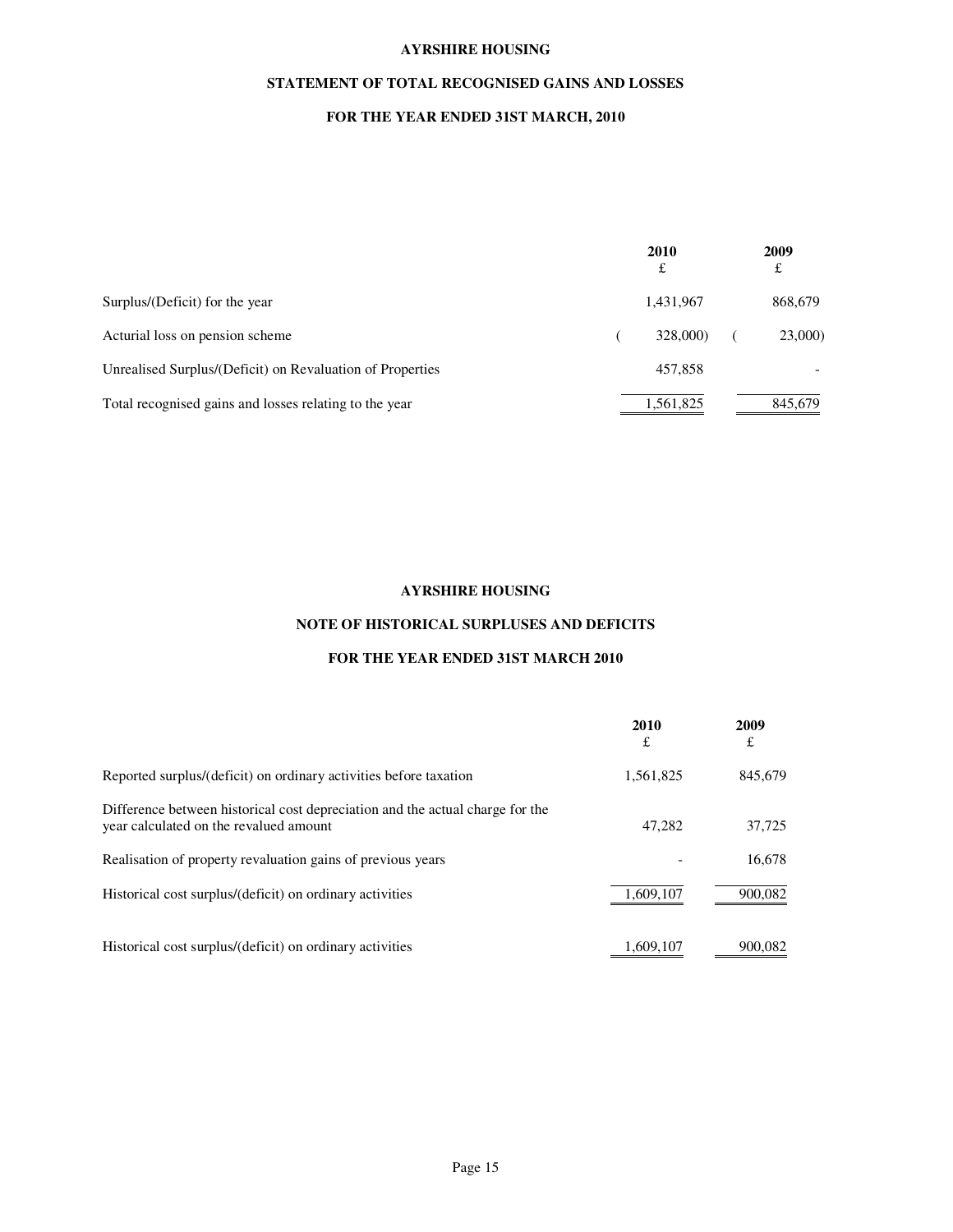# **STATEMENT OF TOTAL RECOGNISED GAINS AND LOSSES**

# **FOR THE YEAR ENDED 31ST MARCH, 2010**

|                                                           | 2010<br>£ | 2009<br>£ |
|-----------------------------------------------------------|-----------|-----------|
| Surplus/(Deficit) for the year                            | 1,431,967 | 868,679   |
| Acturial loss on pension scheme                           | 328,000)  | 23,000)   |
| Unrealised Surplus/(Deficit) on Revaluation of Properties | 457.858   |           |
| Total recognised gains and losses relating to the year    | 1,561,825 | 845,679   |

# **AYRSHIRE HOUSING**

# **NOTE OF HISTORICAL SURPLUSES AND DEFICITS**

# **FOR THE YEAR ENDED 31ST MARCH 2010**

|                                                                                                                         | 2010<br>£ | 2009<br>£ |
|-------------------------------------------------------------------------------------------------------------------------|-----------|-----------|
| Reported surplus/(deficit) on ordinary activities before taxation                                                       | 1,561,825 | 845,679   |
| Difference between historical cost depreciation and the actual charge for the<br>year calculated on the revalued amount | 47.282    | 37.725    |
| Realisation of property revaluation gains of previous years                                                             |           | 16,678    |
| Historical cost surplus/(deficit) on ordinary activities                                                                | 1,609,107 | 900,082   |
| Historical cost surplus/(deficit) on ordinary activities                                                                | 1.609.107 | 900,082   |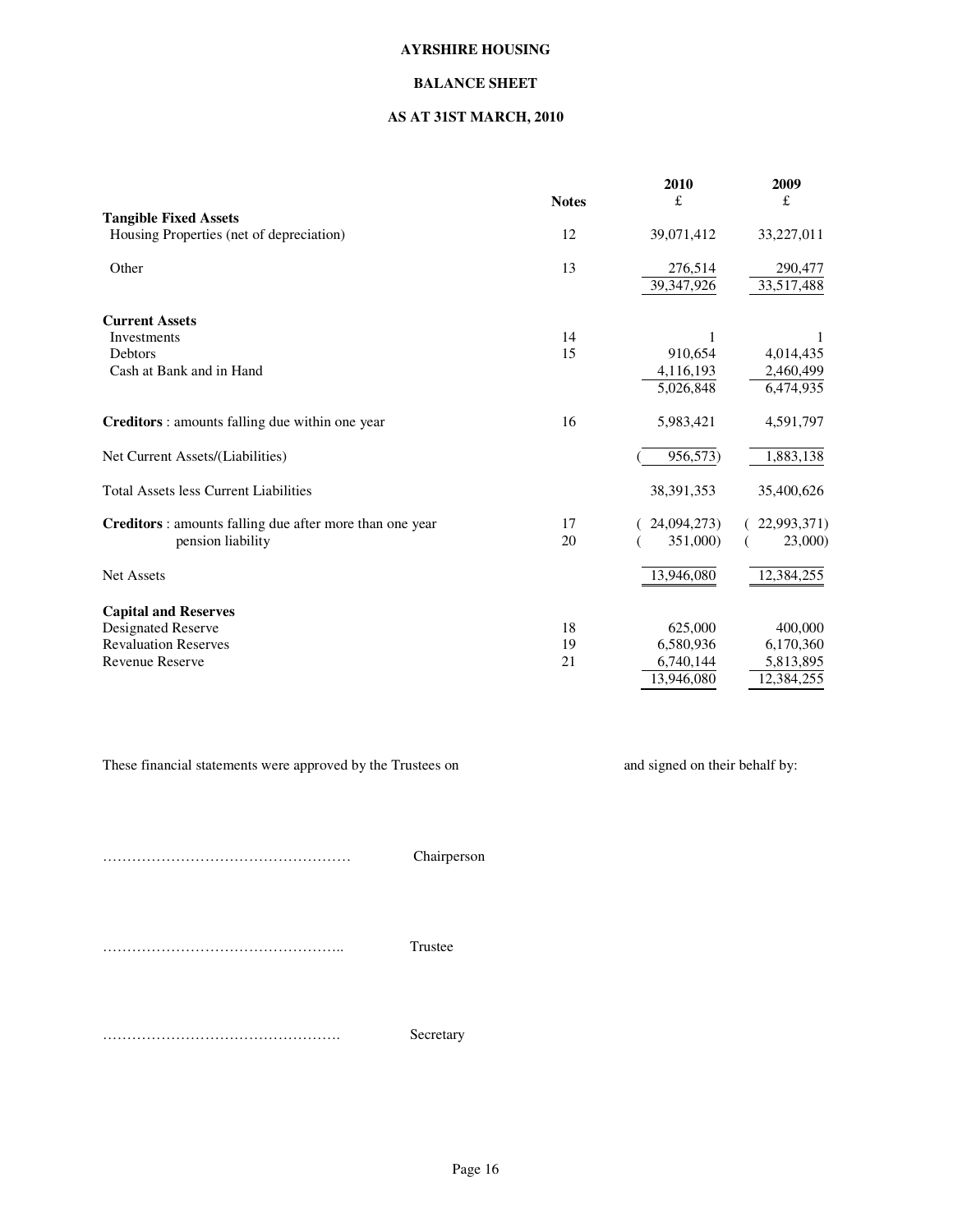# **BALANCE SHEET**

# **AS AT 31ST MARCH, 2010**

|                                                                 |              | 2010         | 2009        |
|-----------------------------------------------------------------|--------------|--------------|-------------|
|                                                                 | <b>Notes</b> | £            | £           |
| <b>Tangible Fixed Assets</b>                                    |              |              |             |
| Housing Properties (net of depreciation)                        | 12           | 39,071,412   | 33,227,011  |
| Other                                                           | 13           | 276,514      | 290,477     |
|                                                                 |              | 39,347,926   | 33,517,488  |
| <b>Current Assets</b>                                           |              |              |             |
| Investments                                                     | 14           |              |             |
| Debtors                                                         | 15           | 910,654      | 4,014,435   |
| Cash at Bank and in Hand                                        |              | 4,116,193    | 2,460,499   |
|                                                                 |              | 5,026,848    | 6,474,935   |
| Creditors : amounts falling due within one year                 | 16           | 5,983,421    | 4,591,797   |
| Net Current Assets/(Liabilities)                                |              | 956,573)     | 1,883,138   |
| <b>Total Assets less Current Liabilities</b>                    |              | 38, 391, 353 | 35,400,626  |
| <b>Creditors</b> : amounts falling due after more than one year | 17           | 24,094,273)  | 22,993,371) |
| pension liability                                               | 20           | 351,000)     | 23,000      |
| <b>Net Assets</b>                                               |              | 13,946,080   | 12,384,255  |
| <b>Capital and Reserves</b>                                     |              |              |             |
| Designated Reserve                                              | 18           | 625,000      | 400,000     |
| <b>Revaluation Reserves</b>                                     | 19           | 6,580,936    | 6,170,360   |
| <b>Revenue Reserve</b>                                          | 21           | 6,740,144    | 5,813,895   |
|                                                                 |              | 13,946,080   | 12,384,255  |

These financial statements were approved by the Trustees on and signed on their behalf by:

…………………………………………… Chairperson

………………………………………….. Trustee

…………………………………………. Secretary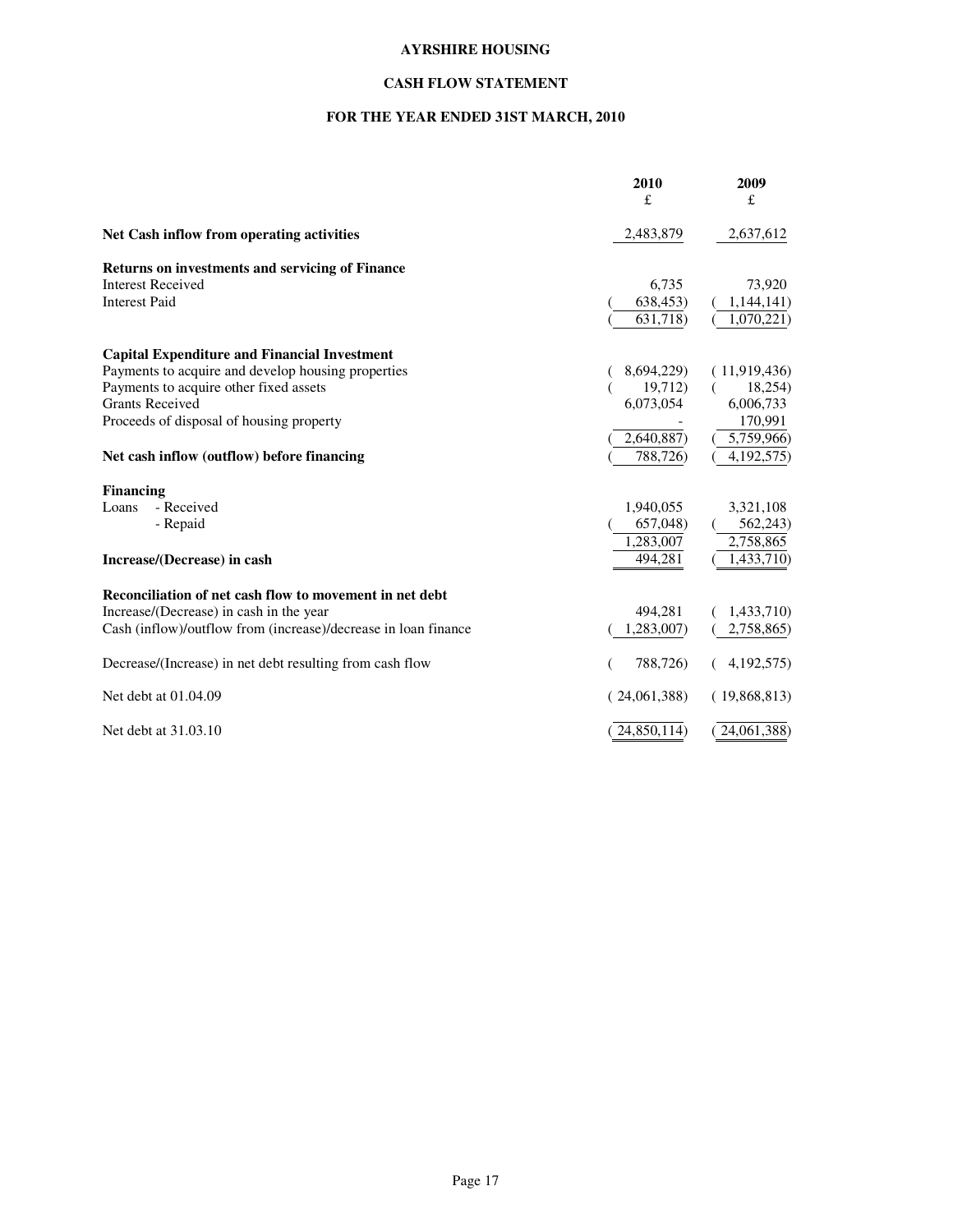# **CASH FLOW STATEMENT**

# **FOR THE YEAR ENDED 31ST MARCH, 2010**

|                                                                | 2010<br>£    | 2009<br>£           |
|----------------------------------------------------------------|--------------|---------------------|
| Net Cash inflow from operating activities                      | 2,483,879    | 2,637,612           |
| <b>Returns on investments and servicing of Finance</b>         |              |                     |
| <b>Interest Received</b>                                       | 6.735        | 73,920              |
| <b>Interest Paid</b>                                           | 638,453)     | 1,144,141)          |
|                                                                | 631,718)     | 1,070,221)          |
| <b>Capital Expenditure and Financial Investment</b>            |              |                     |
| Payments to acquire and develop housing properties             | 8,694,229)   | (11,919,436)        |
| Payments to acquire other fixed assets                         | 19,712)      | 18,254)<br>$\left($ |
| <b>Grants Received</b>                                         | 6,073,054    | 6,006,733           |
| Proceeds of disposal of housing property                       |              | 170,991             |
|                                                                | 2,640,887)   | 5,759,966)          |
| Net cash inflow (outflow) before financing                     | 788,726)     | 4, 192, 575)        |
| <b>Financing</b>                                               |              |                     |
| - Received<br>Loans                                            | 1,940,055    | 3,321,108           |
| - Repaid                                                       | 657,048)     | 562,243)            |
|                                                                | 1,283,007    | 2,758,865           |
| Increase/(Decrease) in cash                                    | 494,281      | 1,433,710)          |
|                                                                |              |                     |
| Reconciliation of net cash flow to movement in net debt        |              |                     |
| Increase/(Decrease) in cash in the year                        | 494,281      | 1,433,710)          |
| Cash (inflow)/outflow from (increase)/decrease in loan finance | 1,283,007)   | 2,758,865)          |
| Decrease/(Increase) in net debt resulting from cash flow       | 788,726)     | 4, 192, 575)        |
|                                                                |              |                     |
| Net debt at 01.04.09                                           | (24,061,388) | (19,868,813)        |
| Net debt at 31.03.10                                           | 24,850,114)  | 24,061,388)         |
|                                                                |              |                     |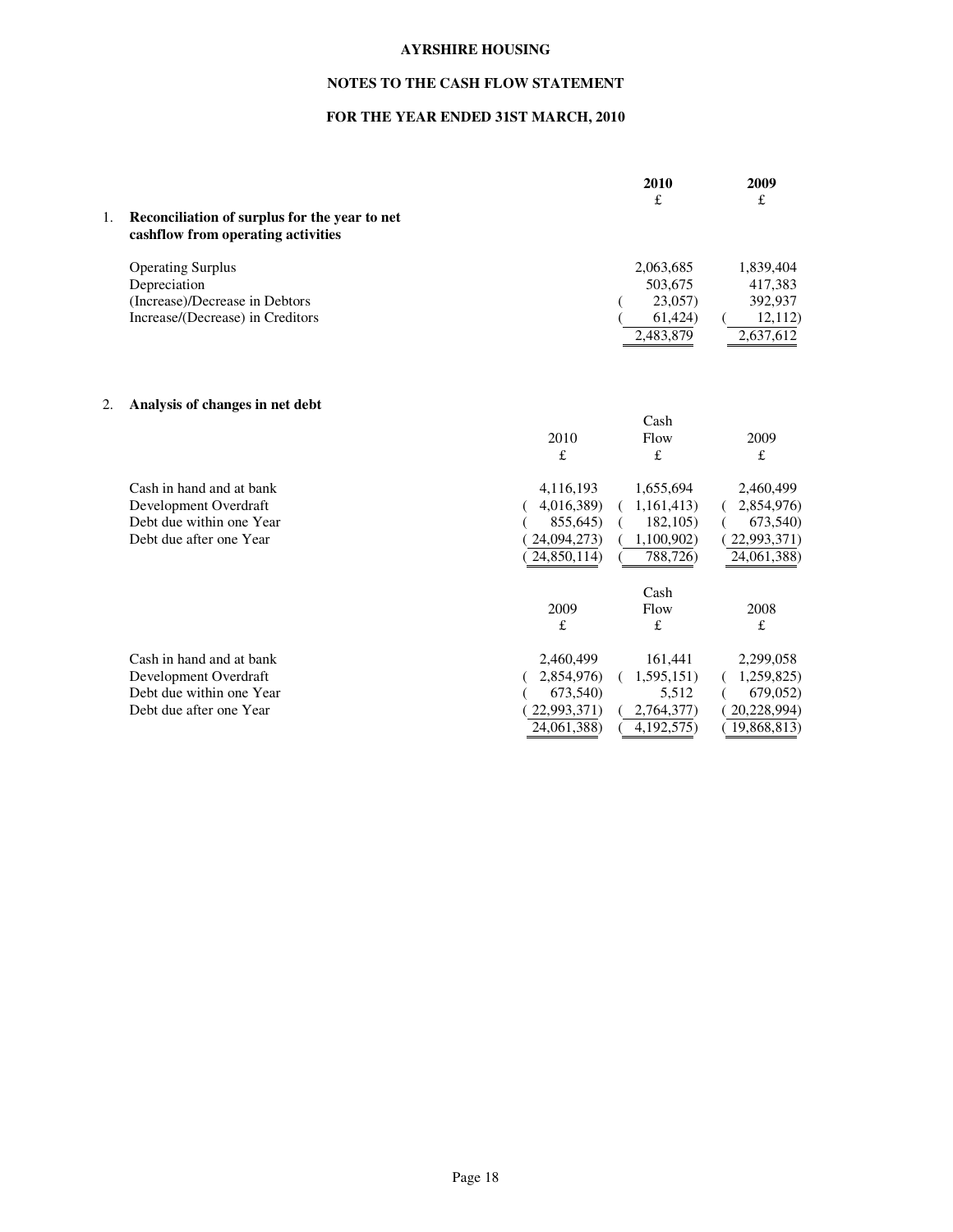# **NOTES TO THE CASH FLOW STATEMENT**

# **FOR THE YEAR ENDED 31ST MARCH, 2010**

|    |                                                                                                                |                         | 2010<br>£                                              | 2009<br>£                                               |
|----|----------------------------------------------------------------------------------------------------------------|-------------------------|--------------------------------------------------------|---------------------------------------------------------|
| 1. | Reconciliation of surplus for the year to net<br>cashflow from operating activities                            |                         |                                                        |                                                         |
|    | <b>Operating Surplus</b><br>Depreciation<br>(Increase)/Decrease in Debtors<br>Increase/(Decrease) in Creditors |                         | 2,063,685<br>503,675<br>23,057<br>61,424)<br>2,483,879 | 1,839,404<br>417,383<br>392,937<br>12,112)<br>2,637,612 |
| 2. | Analysis of changes in net debt                                                                                | 2010<br>£               | Cash<br>Flow<br>£                                      | 2009<br>£                                               |
|    |                                                                                                                |                         |                                                        |                                                         |
|    | Cash in hand and at bank<br>Development Overdraft                                                              | 4,116,193<br>4,016,389) | 1,655,694<br>1,161,413)                                | 2,460,499<br>2,854,976)                                 |
|    | Debt due within one Year                                                                                       | 855,645)                | 182,105)                                               | 673,540)                                                |
|    | Debt due after one Year                                                                                        | 24,094,273)             | 1,100,902)                                             | 22,993,371)                                             |
|    |                                                                                                                | 24,850,114)             | 788,726)                                               | 24,061,388)                                             |
|    |                                                                                                                |                         | Cash                                                   |                                                         |
|    |                                                                                                                | 2009                    | Flow                                                   | 2008                                                    |
|    |                                                                                                                | £                       | £                                                      | £                                                       |
|    | Cash in hand and at bank                                                                                       | 2,460,499               | 161,441                                                | 2,299,058                                               |
|    | Development Overdraft                                                                                          | 2,854,976)              | 1,595,151)                                             | 1,259,825)                                              |
|    | Debt due within one Year                                                                                       | 673,540)                | 5,512                                                  | 679,052)                                                |
|    | Debt due after one Year                                                                                        | 22,993,371)             | 2,764,377)                                             | 20,228,994)                                             |
|    |                                                                                                                | 24,061,388)             | 4,192,575)                                             | 19,868,813)                                             |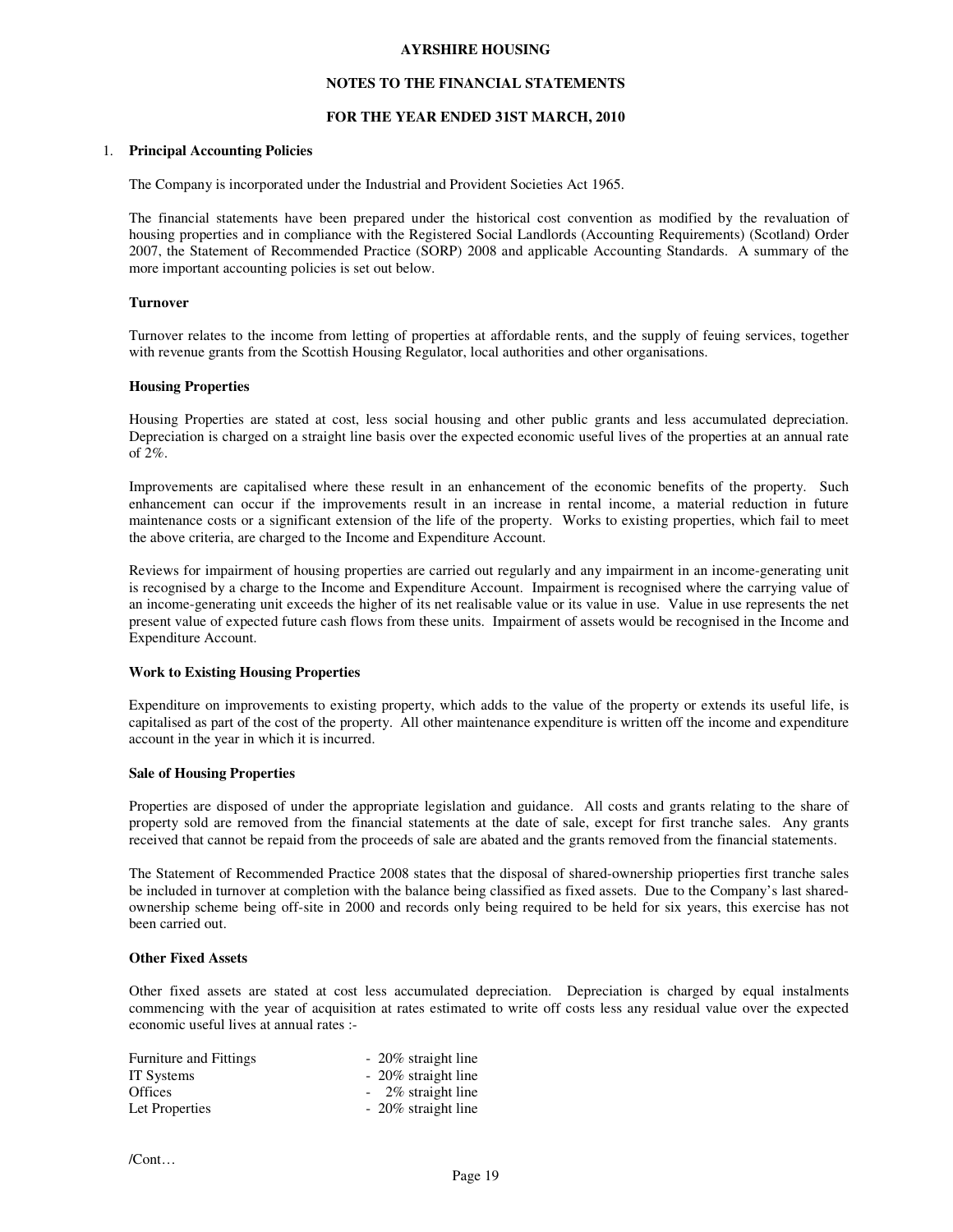# **NOTES TO THE FINANCIAL STATEMENTS**

### **FOR THE YEAR ENDED 31ST MARCH, 2010**

#### 1. **Principal Accounting Policies**

The Company is incorporated under the Industrial and Provident Societies Act 1965.

The financial statements have been prepared under the historical cost convention as modified by the revaluation of housing properties and in compliance with the Registered Social Landlords (Accounting Requirements) (Scotland) Order 2007, the Statement of Recommended Practice (SORP) 2008 and applicable Accounting Standards. A summary of the more important accounting policies is set out below.

### **Turnover**

 Turnover relates to the income from letting of properties at affordable rents, and the supply of feuing services, together with revenue grants from the Scottish Housing Regulator, local authorities and other organisations.

### **Housing Properties**

 Housing Properties are stated at cost, less social housing and other public grants and less accumulated depreciation. Depreciation is charged on a straight line basis over the expected economic useful lives of the properties at an annual rate of 2%.

 Improvements are capitalised where these result in an enhancement of the economic benefits of the property. Such enhancement can occur if the improvements result in an increase in rental income, a material reduction in future maintenance costs or a significant extension of the life of the property. Works to existing properties, which fail to meet the above criteria, are charged to the Income and Expenditure Account.

 Reviews for impairment of housing properties are carried out regularly and any impairment in an income-generating unit is recognised by a charge to the Income and Expenditure Account. Impairment is recognised where the carrying value of an income-generating unit exceeds the higher of its net realisable value or its value in use. Value in use represents the net present value of expected future cash flows from these units. Impairment of assets would be recognised in the Income and Expenditure Account.

#### **Work to Existing Housing Properties**

 Expenditure on improvements to existing property, which adds to the value of the property or extends its useful life, is capitalised as part of the cost of the property. All other maintenance expenditure is written off the income and expenditure account in the year in which it is incurred.

#### **Sale of Housing Properties**

 Properties are disposed of under the appropriate legislation and guidance. All costs and grants relating to the share of property sold are removed from the financial statements at the date of sale, except for first tranche sales. Any grants received that cannot be repaid from the proceeds of sale are abated and the grants removed from the financial statements.

 The Statement of Recommended Practice 2008 states that the disposal of shared-ownership prioperties first tranche sales be included in turnover at completion with the balance being classified as fixed assets. Due to the Company's last sharedownership scheme being off-site in 2000 and records only being required to be held for six years, this exercise has not been carried out.

# **Other Fixed Assets**

Other fixed assets are stated at cost less accumulated depreciation. Depreciation is charged by equal instalments commencing with the year of acquisition at rates estimated to write off costs less any residual value over the expected economic useful lives at annual rates :-

| Furniture and Fittings | $-20\%$ straight line |
|------------------------|-----------------------|
| IT Systems             | $-20\%$ straight line |
| <b>Offices</b>         | $-2\%$ straight line  |
| Let Properties         | $-20\%$ straight line |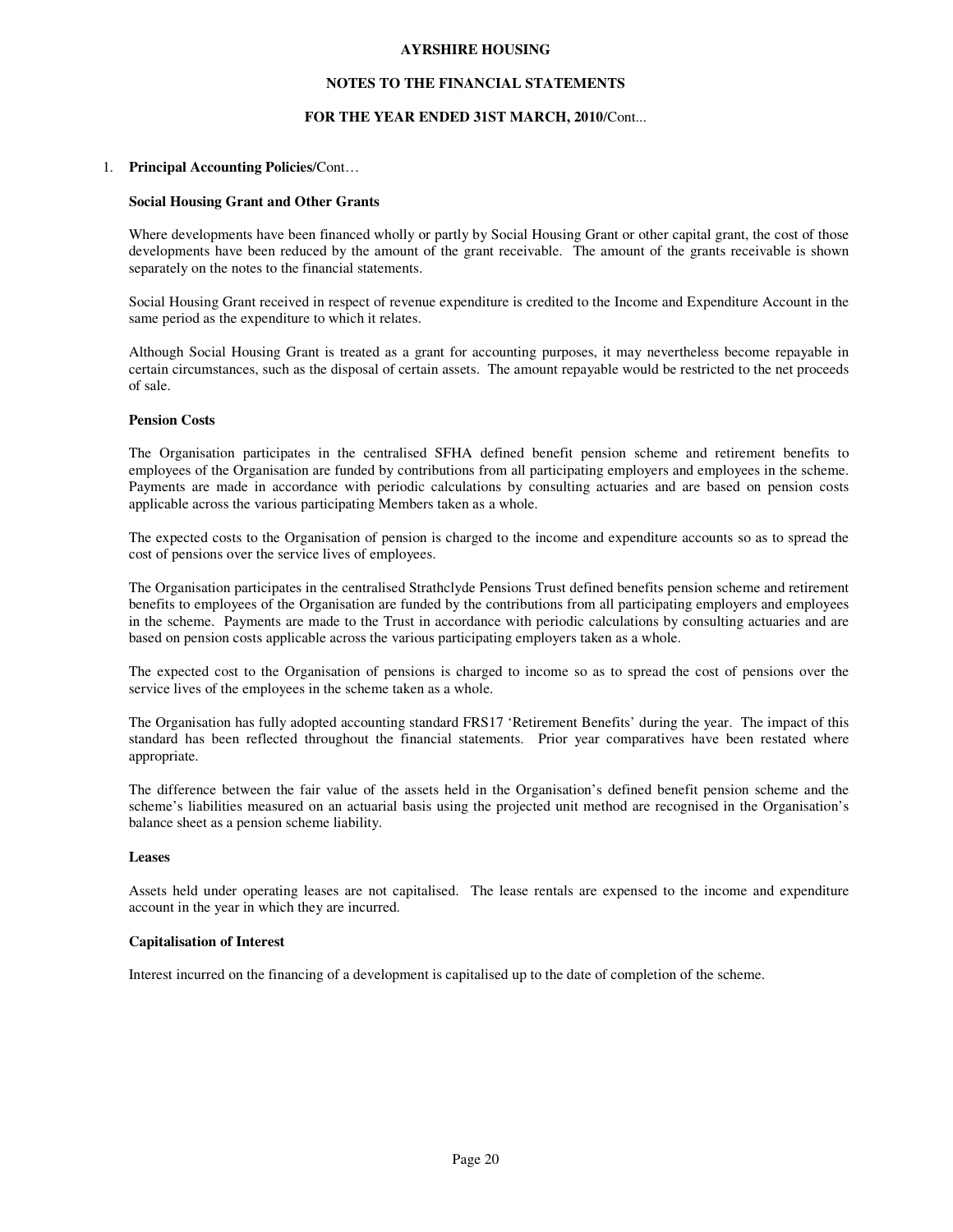### **NOTES TO THE FINANCIAL STATEMENTS**

### **FOR THE YEAR ENDED 31ST MARCH, 2010**/Cont...

### 1. **Principal Accounting Policies**/Cont…

### **Social Housing Grant and Other Grants**

 Where developments have been financed wholly or partly by Social Housing Grant or other capital grant, the cost of those developments have been reduced by the amount of the grant receivable. The amount of the grants receivable is shown separately on the notes to the financial statements.

 Social Housing Grant received in respect of revenue expenditure is credited to the Income and Expenditure Account in the same period as the expenditure to which it relates.

 Although Social Housing Grant is treated as a grant for accounting purposes, it may nevertheless become repayable in certain circumstances, such as the disposal of certain assets. The amount repayable would be restricted to the net proceeds of sale.

### **Pension Costs**

 The Organisation participates in the centralised SFHA defined benefit pension scheme and retirement benefits to employees of the Organisation are funded by contributions from all participating employers and employees in the scheme. Payments are made in accordance with periodic calculations by consulting actuaries and are based on pension costs applicable across the various participating Members taken as a whole.

 The expected costs to the Organisation of pension is charged to the income and expenditure accounts so as to spread the cost of pensions over the service lives of employees.

 The Organisation participates in the centralised Strathclyde Pensions Trust defined benefits pension scheme and retirement benefits to employees of the Organisation are funded by the contributions from all participating employers and employees in the scheme. Payments are made to the Trust in accordance with periodic calculations by consulting actuaries and are based on pension costs applicable across the various participating employers taken as a whole.

 The expected cost to the Organisation of pensions is charged to income so as to spread the cost of pensions over the service lives of the employees in the scheme taken as a whole.

 The Organisation has fully adopted accounting standard FRS17 'Retirement Benefits' during the year. The impact of this standard has been reflected throughout the financial statements. Prior year comparatives have been restated where appropriate.

 The difference between the fair value of the assets held in the Organisation's defined benefit pension scheme and the scheme's liabilities measured on an actuarial basis using the projected unit method are recognised in the Organisation's balance sheet as a pension scheme liability.

#### **Leases**

 Assets held under operating leases are not capitalised. The lease rentals are expensed to the income and expenditure account in the year in which they are incurred.

### **Capitalisation of Interest**

Interest incurred on the financing of a development is capitalised up to the date of completion of the scheme.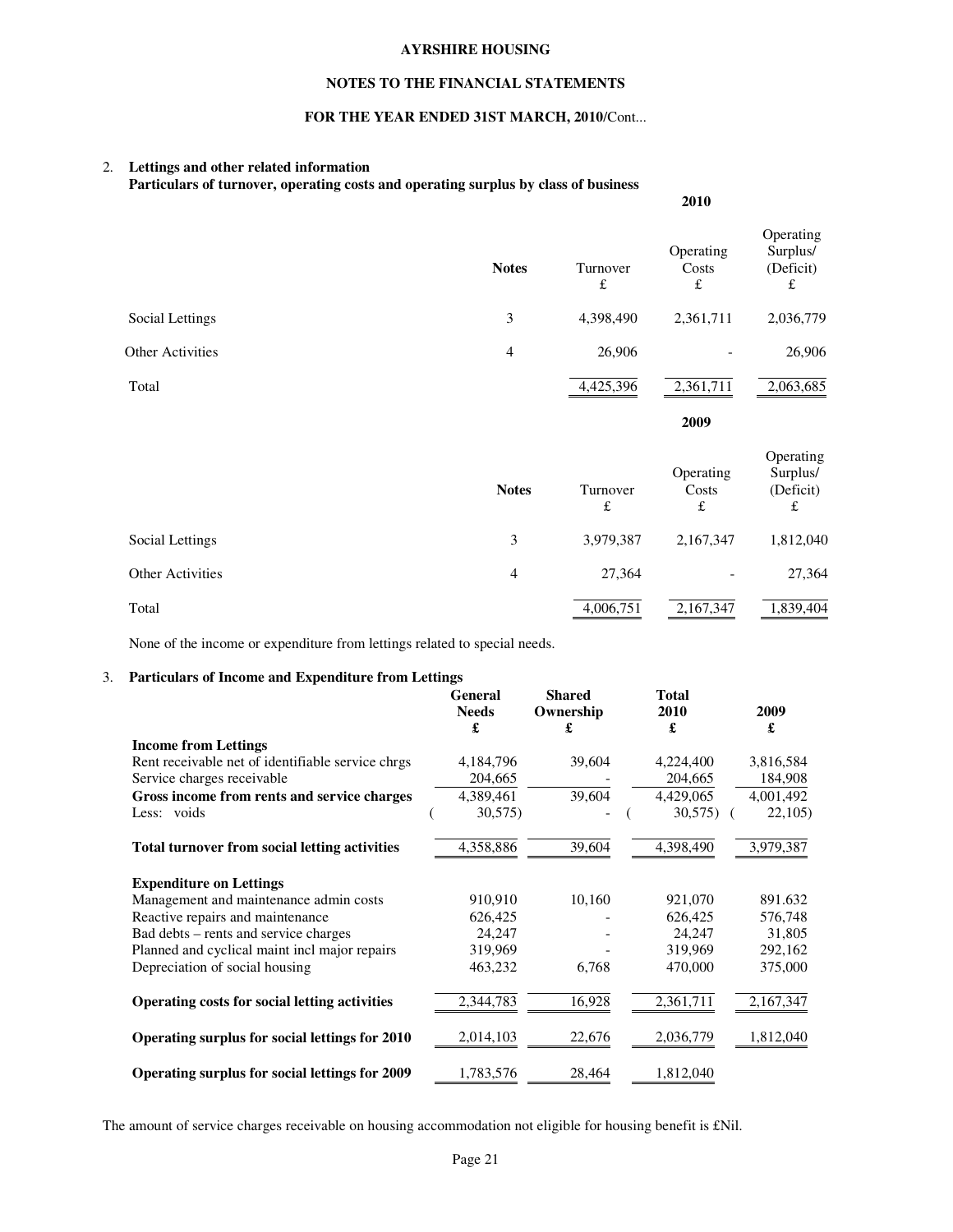# **NOTES TO THE FINANCIAL STATEMENTS**

# **FOR THE YEAR ENDED 31ST MARCH, 2010**/Cont...

### 2. **Lettings and other related information**

# **Particulars of turnover, operating costs and operating surplus by class of business**

|                         |              |               | 2010                    |                                         |
|-------------------------|--------------|---------------|-------------------------|-----------------------------------------|
|                         | <b>Notes</b> | Turnover<br>£ | Operating<br>Costs<br>£ | Operating<br>Surplus/<br>(Deficit)<br>£ |
| Social Lettings         | 3            | 4,398,490     | 2,361,711               | 2,036,779                               |
| <b>Other Activities</b> | 4            | 26,906        |                         | 26,906                                  |
| Total                   |              | 4,425,396     | 2,361,711               | 2,063,685                               |
|                         |              |               | 2009                    |                                         |

|                         | <b>Notes</b> | Turnover<br>£ | Operating<br>Costs<br>£  | Operating<br>Surplus/<br>(Deficit)<br>£ |
|-------------------------|--------------|---------------|--------------------------|-----------------------------------------|
| Social Lettings         | 3            | 3,979,387     | 2,167,347                | 1,812,040                               |
| <b>Other Activities</b> | 4            | 27,364        | $\overline{\phantom{a}}$ | 27,364                                  |
| Total                   |              | 4,006,751     | 2,167,347                | 1,839,404                               |

None of the income or expenditure from lettings related to special needs.

# 3. **Particulars of Income and Expenditure from Lettings**

|                                                   | <b>General</b><br><b>Needs</b><br>£ | <b>Shared</b><br>Ownership<br>£ | <b>Total</b><br>2010<br>£ | 2009<br>£ |
|---------------------------------------------------|-------------------------------------|---------------------------------|---------------------------|-----------|
| <b>Income from Lettings</b>                       |                                     |                                 |                           |           |
| Rent receivable net of identifiable service chrgs | 4,184,796                           | 39,604                          | 4,224,400                 | 3,816,584 |
| Service charges receivable                        | 204,665                             |                                 | 204,665                   | 184,908   |
| Gross income from rents and service charges       | 4,389,461                           | 39,604                          | 4,429,065                 | 4,001,492 |
| Less: voids                                       | 30,575                              |                                 | $30,575$ (                | 22,105    |
| Total turnover from social letting activities     | 4,358,886                           | 39,604                          | 4,398,490                 | 3,979,387 |
| <b>Expenditure on Lettings</b>                    |                                     |                                 |                           |           |
| Management and maintenance admin costs            | 910,910                             | 10,160                          | 921,070                   | 891.632   |
| Reactive repairs and maintenance                  | 626,425                             |                                 | 626,425                   | 576,748   |
| Bad debts - rents and service charges             | 24,247                              |                                 | 24,247                    | 31,805    |
| Planned and cyclical maint incl major repairs     | 319,969                             |                                 | 319,969                   | 292,162   |
| Depreciation of social housing                    | 463,232                             | 6,768                           | 470,000                   | 375,000   |
| Operating costs for social letting activities     | 2,344,783                           | 16,928                          | 2,361,711                 | 2,167,347 |
| Operating surplus for social lettings for 2010    | 2,014,103                           | 22,676                          | 2,036,779                 | 1,812,040 |
| Operating surplus for social lettings for 2009    | 1,783,576                           | 28,464                          | 1,812,040                 |           |

The amount of service charges receivable on housing accommodation not eligible for housing benefit is £Nil.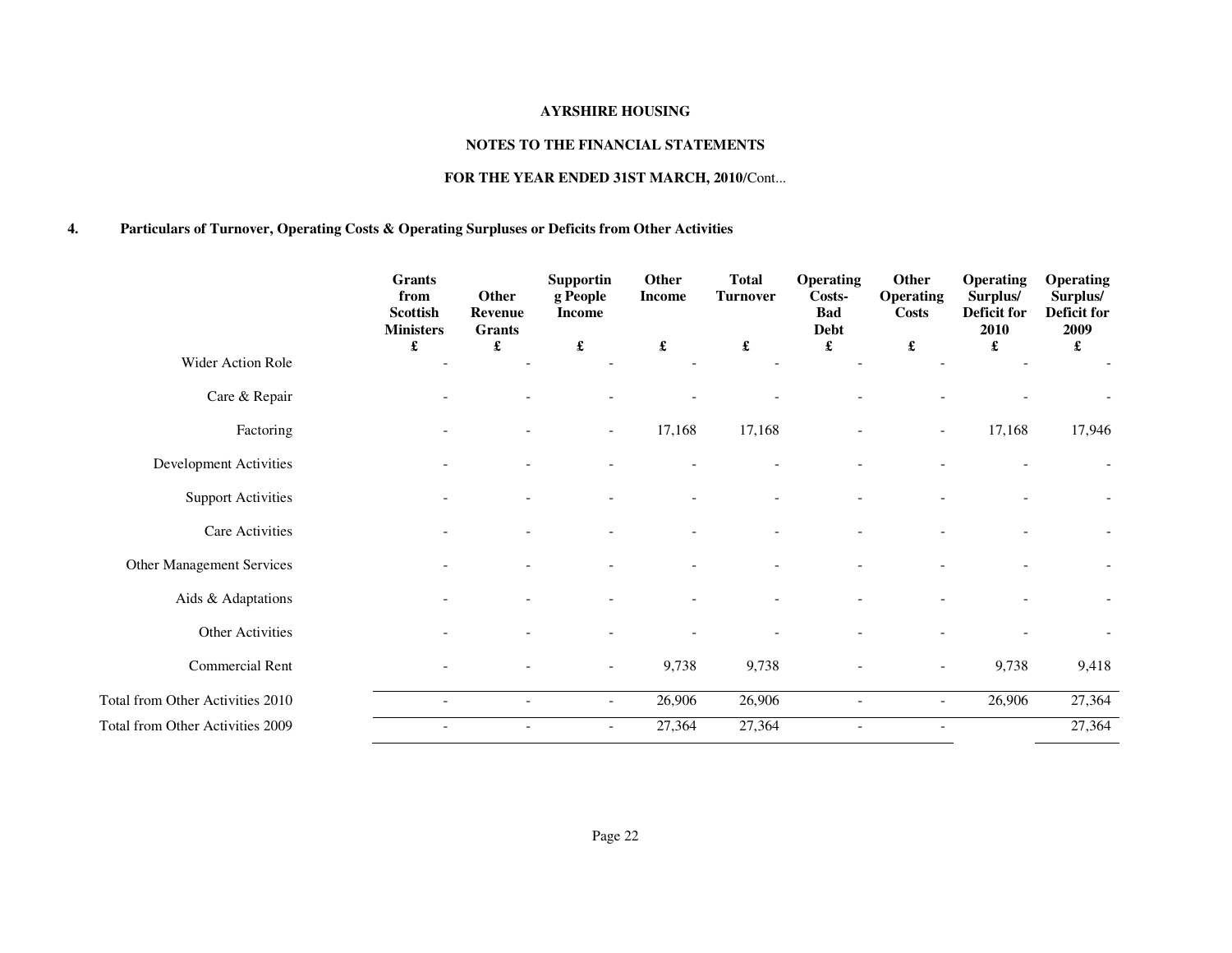# **NOTES TO THE FINANCIAL STATEMENTS**

#### **FOR THE YEAR ENDED 31ST MARCH, 2010**/Cont...

#### **4.Particulars of Turnover, Operating Costs & Operating Surpluses or Deficits from Other Activities**

|                                  | <b>Grants</b><br>from<br><b>Scottish</b><br><b>Ministers</b> | Other<br>Revenue<br><b>Grants</b> | <b>Supportin</b><br>g People<br><b>Income</b> | Other<br><b>Income</b> | <b>Total</b><br><b>Turnover</b> | <b>Operating</b><br>Costs-<br><b>Bad</b><br><b>Debt</b> | Other<br><b>Operating</b><br><b>Costs</b> | <b>Operating</b><br>Surplus/<br>Deficit for<br>2010 | <b>Operating</b><br>Surplus/<br>Deficit for<br>2009 |
|----------------------------------|--------------------------------------------------------------|-----------------------------------|-----------------------------------------------|------------------------|---------------------------------|---------------------------------------------------------|-------------------------------------------|-----------------------------------------------------|-----------------------------------------------------|
| Wider Action Role                | £                                                            | £                                 | $\pmb{\mathfrak{L}}$                          | $\pmb{\mathfrak{L}}$   | $\pmb{\mathfrak{L}}$            | $\pmb{\mathfrak{L}}$                                    | £                                         | £                                                   | £                                                   |
| Care & Repair                    |                                                              |                                   |                                               |                        |                                 |                                                         |                                           |                                                     |                                                     |
| Factoring                        |                                                              |                                   | $\overline{\phantom{a}}$                      | 17,168                 | 17,168                          |                                                         | $\overline{\phantom{a}}$                  | 17,168                                              | 17,946                                              |
| <b>Development Activities</b>    |                                                              |                                   |                                               |                        |                                 |                                                         |                                           |                                                     |                                                     |
| <b>Support Activities</b>        |                                                              |                                   |                                               |                        |                                 |                                                         |                                           |                                                     |                                                     |
| Care Activities                  |                                                              |                                   |                                               |                        |                                 |                                                         |                                           |                                                     |                                                     |
| Other Management Services        |                                                              |                                   |                                               |                        |                                 |                                                         |                                           |                                                     |                                                     |
| Aids & Adaptations               |                                                              |                                   |                                               |                        |                                 |                                                         |                                           |                                                     |                                                     |
| Other Activities                 |                                                              |                                   | $\overline{\phantom{a}}$                      |                        |                                 |                                                         |                                           |                                                     |                                                     |
| <b>Commercial Rent</b>           |                                                              |                                   | $\overline{\phantom{a}}$                      | 9,738                  | 9,738                           |                                                         | $\overline{\phantom{a}}$                  | 9,738                                               | 9,418                                               |
| Total from Other Activities 2010 | $\overline{\phantom{a}}$                                     | $\overline{\phantom{a}}$          | $\overline{\phantom{a}}$                      | 26,906                 | 26,906                          |                                                         | $\overline{\phantom{a}}$                  | 26,906                                              | 27,364                                              |
| Total from Other Activities 2009 | $\overline{\phantom{a}}$                                     | $\overline{\phantom{a}}$          | $\overline{\phantom{a}}$                      | 27,364                 | 27,364                          |                                                         | $\overline{\phantom{a}}$                  |                                                     | 27,364                                              |
|                                  |                                                              |                                   |                                               |                        |                                 |                                                         |                                           |                                                     |                                                     |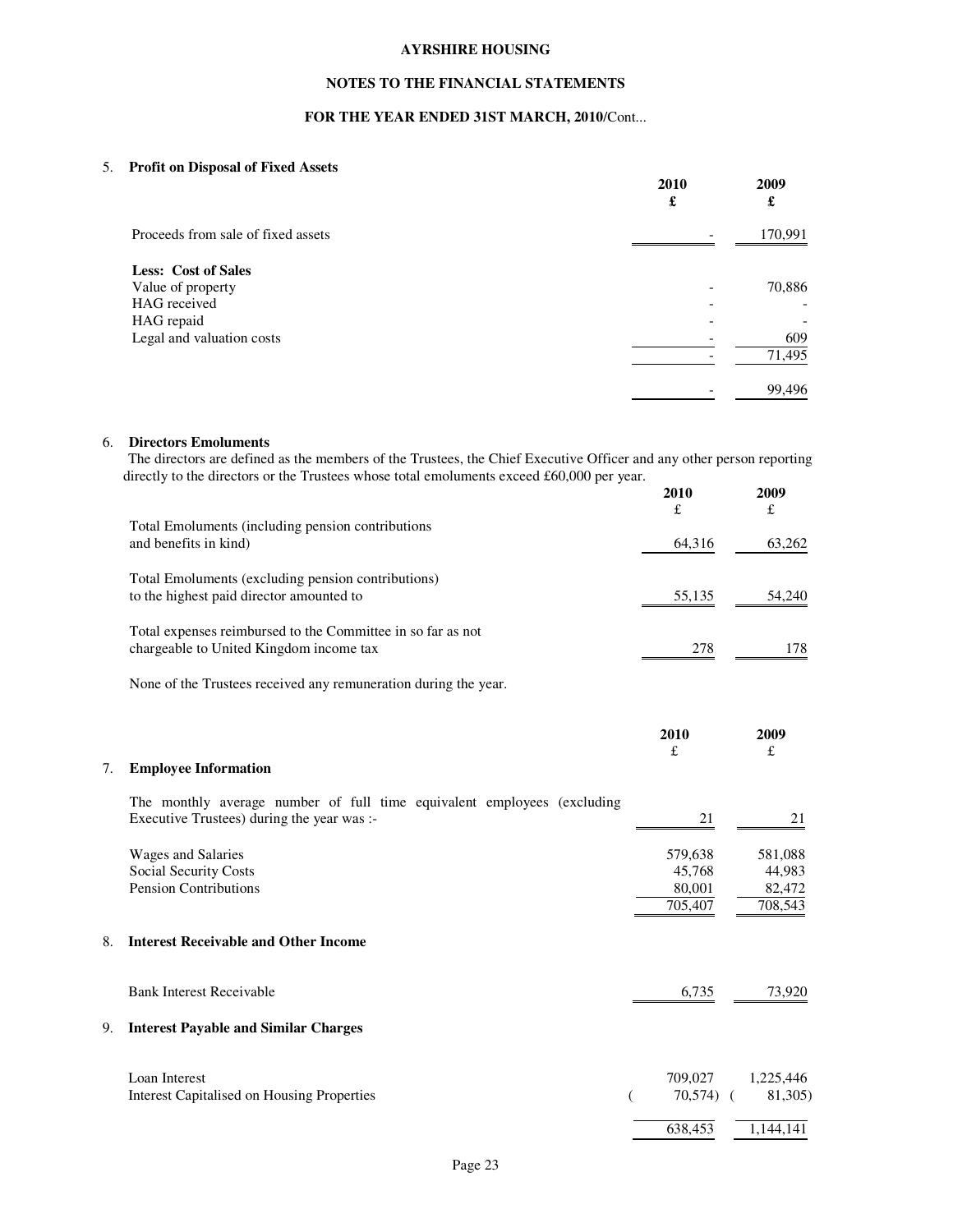# **NOTES TO THE FINANCIAL STATEMENTS**

# **FOR THE YEAR ENDED 31ST MARCH, 2010**/Cont...

# 5. **Profit on Disposal of Fixed Assets**

|                                    | 2010<br>£ | 2009<br>£                |
|------------------------------------|-----------|--------------------------|
| Proceeds from sale of fixed assets |           | 170,991                  |
| <b>Less: Cost of Sales</b>         |           |                          |
| Value of property                  | -         | 70,886                   |
| HAG received                       |           | $\overline{\phantom{a}}$ |
| HAG repaid                         |           | ٠                        |
| Legal and valuation costs          |           | 609                      |
|                                    |           | 71,495                   |
|                                    |           | 99,496                   |

# 6. **Directors Emoluments**

 The directors are defined as the members of the Trustees, the Chief Executive Officer and any other person reporting directly to the directors or the Trustees whose total emoluments exceed £60,000 per year. **2010 2009** 

|    |                                                                                                                       | 2010<br>£                              | 2009<br>£                              |
|----|-----------------------------------------------------------------------------------------------------------------------|----------------------------------------|----------------------------------------|
|    | Total Emoluments (including pension contributions<br>and benefits in kind)                                            | 64,316                                 | 63,262                                 |
|    | Total Emoluments (excluding pension contributions)<br>to the highest paid director amounted to                        | 55,135                                 | 54,240                                 |
|    | Total expenses reimbursed to the Committee in so far as not<br>chargeable to United Kingdom income tax                | 278                                    | 178                                    |
|    | None of the Trustees received any remuneration during the year.                                                       |                                        |                                        |
|    |                                                                                                                       | 2010<br>£                              | 2009<br>£                              |
| 7. | <b>Employee Information</b>                                                                                           |                                        |                                        |
|    | The monthly average number of full time equivalent employees (excluding<br>Executive Trustees) during the year was :- | 21                                     | 21                                     |
|    | <b>Wages and Salaries</b><br><b>Social Security Costs</b><br><b>Pension Contributions</b>                             | 579,638<br>45,768<br>80,001<br>705,407 | 581,088<br>44,983<br>82,472<br>708,543 |
| 8. | <b>Interest Receivable and Other Income</b>                                                                           |                                        |                                        |
|    | <b>Bank Interest Receivable</b>                                                                                       | 6,735                                  | 73,920                                 |
| 9. | <b>Interest Payable and Similar Charges</b>                                                                           |                                        |                                        |
|    | Loan Interest<br>Interest Capitalised on Housing Properties<br>€                                                      | 709,027<br>$70,574$ (                  | 1,225,446<br>81,305)                   |
|    |                                                                                                                       | 638,453                                | 1,144,141                              |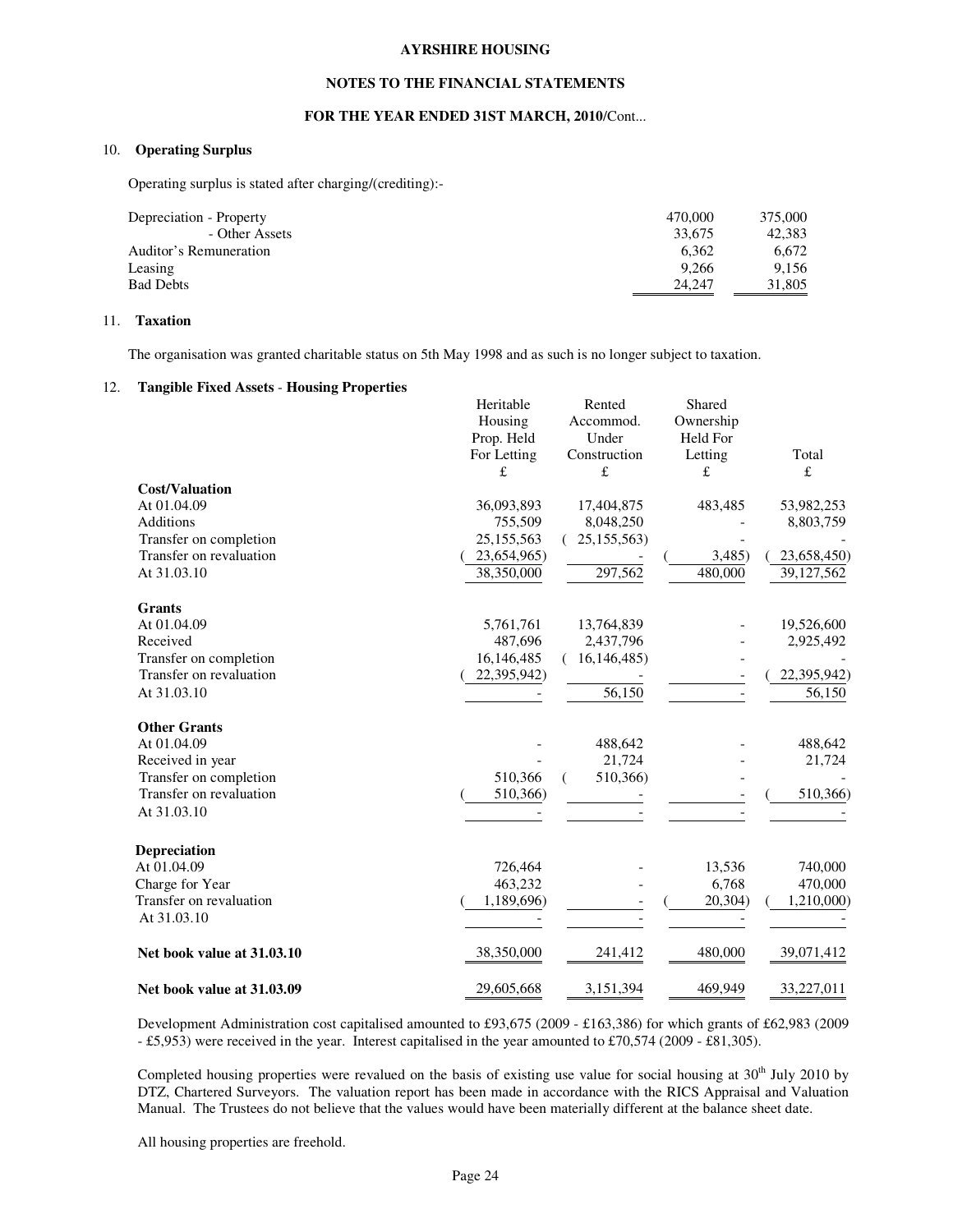# **NOTES TO THE FINANCIAL STATEMENTS**

# **FOR THE YEAR ENDED 31ST MARCH, 2010**/Cont...

### 10. **Operating Surplus**

Operating surplus is stated after charging/(crediting):-

| Depreciation - Property | 470,000 | 375,000 |
|-------------------------|---------|---------|
| - Other Assets          | 33.675  | 42.383  |
| Auditor's Remuneration  | 6.362   | 6.672   |
| Leasing                 | 9.266   | 9.156   |
| <b>Bad Debts</b>        | 24.247  | 31.805  |

### 11. **Taxation**

The organisation was granted charitable status on 5th May 1998 and as such is no longer subject to taxation.

### 12. **Tangible Fixed Assets** - **Housing Properties**

|                            | Heritable    | Rented         | Shared          |             |
|----------------------------|--------------|----------------|-----------------|-------------|
|                            | Housing      | Accommod.      | Ownership       |             |
|                            | Prop. Held   | Under          | <b>Held For</b> |             |
|                            | For Letting  | Construction   | Letting         | Total       |
|                            | £            | £              | £               | £           |
| <b>Cost/Valuation</b>      |              |                |                 |             |
| At 01.04.09                | 36,093,893   | 17,404,875     | 483,485         | 53,982,253  |
| <b>Additions</b>           | 755,509      | 8,048,250      |                 | 8,803,759   |
| Transfer on completion     | 25, 155, 563 | (25, 155, 563) |                 |             |
| Transfer on revaluation    | 23,654,965)  |                | 3,485           | 23,658,450) |
| At 31.03.10                | 38,350,000   | 297,562        | 480,000         | 39,127,562  |
| <b>Grants</b>              |              |                |                 |             |
| At 01.04.09                | 5,761,761    | 13,764,839     |                 | 19,526,600  |
| Received                   | 487,696      | 2,437,796      |                 | 2,925,492   |
| Transfer on completion     | 16, 146, 485 | (16, 146, 485) |                 |             |
| Transfer on revaluation    | 22,395,942)  |                |                 | 22,395,942) |
| At 31.03.10                |              | 56,150         |                 | 56,150      |
| <b>Other Grants</b>        |              |                |                 |             |
| At 01.04.09                |              | 488,642        |                 | 488,642     |
| Received in year           |              | 21,724         |                 | 21,724      |
| Transfer on completion     | 510,366      | 510,366)<br>€  |                 |             |
| Transfer on revaluation    | 510,366)     |                |                 | 510,366)    |
| At 31.03.10                |              |                |                 |             |
| <b>Depreciation</b>        |              |                |                 |             |
| At 01.04.09                | 726,464      |                | 13,536          | 740,000     |
| Charge for Year            | 463,232      |                | 6,768           | 470,000     |
| Transfer on revaluation    | 1,189,696)   |                | 20,304)         | 1,210,000)  |
| At 31.03.10                |              |                |                 |             |
| Net book value at 31.03.10 | 38,350,000   | 241,412        | 480,000         | 39,071,412  |
| Net book value at 31.03.09 | 29,605,668   | 3,151,394      | 469,949         | 33,227,011  |

 Development Administration cost capitalised amounted to £93,675 (2009 - £163,386) for which grants of £62,983 (2009 - £5,953) were received in the year. Interest capitalised in the year amounted to £70,574 (2009 - £81,305).

Completed housing properties were revalued on the basis of existing use value for social housing at  $30<sup>th</sup>$  July 2010 by DTZ, Chartered Surveyors. The valuation report has been made in accordance with the RICS Appraisal and Valuation Manual. The Trustees do not believe that the values would have been materially different at the balance sheet date.

All housing properties are freehold.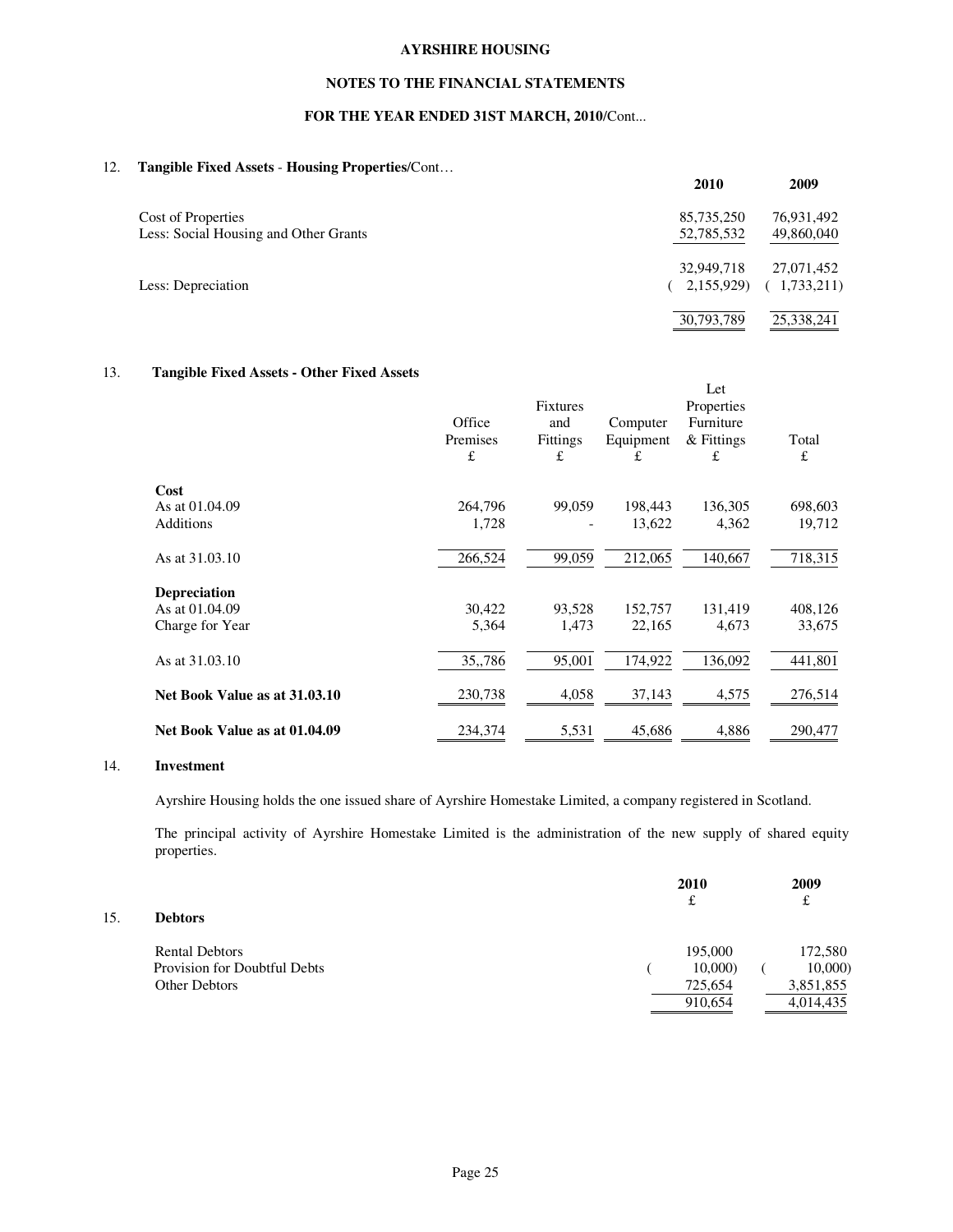# **NOTES TO THE FINANCIAL STATEMENTS**

# **FOR THE YEAR ENDED 31ST MARCH, 2010**/Cont...

# 12. **Tangible Fixed Assets** - **Housing Properties**/Cont…

|                                       | 2010       | 2009        |
|---------------------------------------|------------|-------------|
| Cost of Properties                    | 85,735,250 | 76,931,492  |
| Less: Social Housing and Other Grants | 52,785,532 | 49,860,040  |
|                                       | 32,949,718 | 27,071,452  |
| Less: Depreciation                    | 2,155,929) | (1,733,211) |
|                                       | 30,793,789 | 25,338,241  |

# 13. **Tangible Fixed Assets - Other Fixed Assets**

| o                             | Office<br>Premises<br>£ | Fixtures<br>and<br><b>Fittings</b><br>£ | Computer<br>Equipment<br>£ | Let<br>Properties<br>Furniture<br>& Fittings<br>£ | Total<br>£ |
|-------------------------------|-------------------------|-----------------------------------------|----------------------------|---------------------------------------------------|------------|
| Cost                          |                         |                                         |                            |                                                   |            |
| As at 01.04.09                | 264,796                 | 99,059                                  | 198,443                    | 136,305                                           | 698,603    |
| <b>Additions</b>              | 1,728                   |                                         | 13,622                     | 4,362                                             | 19,712     |
| As at 31.03.10                | 266,524                 | 99,059                                  | 212,065                    | 140,667                                           | 718,315    |
| <b>Depreciation</b>           |                         |                                         |                            |                                                   |            |
| As at 01.04.09                | 30,422                  | 93,528                                  | 152,757                    | 131,419                                           | 408,126    |
| Charge for Year               | 5,364                   | 1,473                                   | 22,165                     | 4,673                                             | 33,675     |
| As at 31.03.10                | 35,,786                 | 95,001                                  | 174,922                    | 136,092                                           | 441,801    |
| Net Book Value as at 31.03.10 | 230,738                 | 4,058                                   | 37,143                     | 4,575                                             | 276,514    |
| Net Book Value as at 01.04.09 | 234,374                 | 5,531                                   | 45,686                     | 4,886                                             | 290,477    |

### 14. **Investment**

Ayrshire Housing holds the one issued share of Ayrshire Homestake Limited, a company registered in Scotland.

The principal activity of Ayrshire Homestake Limited is the administration of the new supply of shared equity properties.

|     |                              | 2010<br>£ | 2009<br>£ |
|-----|------------------------------|-----------|-----------|
| 15. | <b>Debtors</b>               |           |           |
|     | <b>Rental Debtors</b>        | 195,000   | 172,580   |
|     | Provision for Doubtful Debts | 10,000    | 10,000    |
|     | Other Debtors                | 725,654   | 3,851,855 |
|     |                              | 910,654   | 4,014,435 |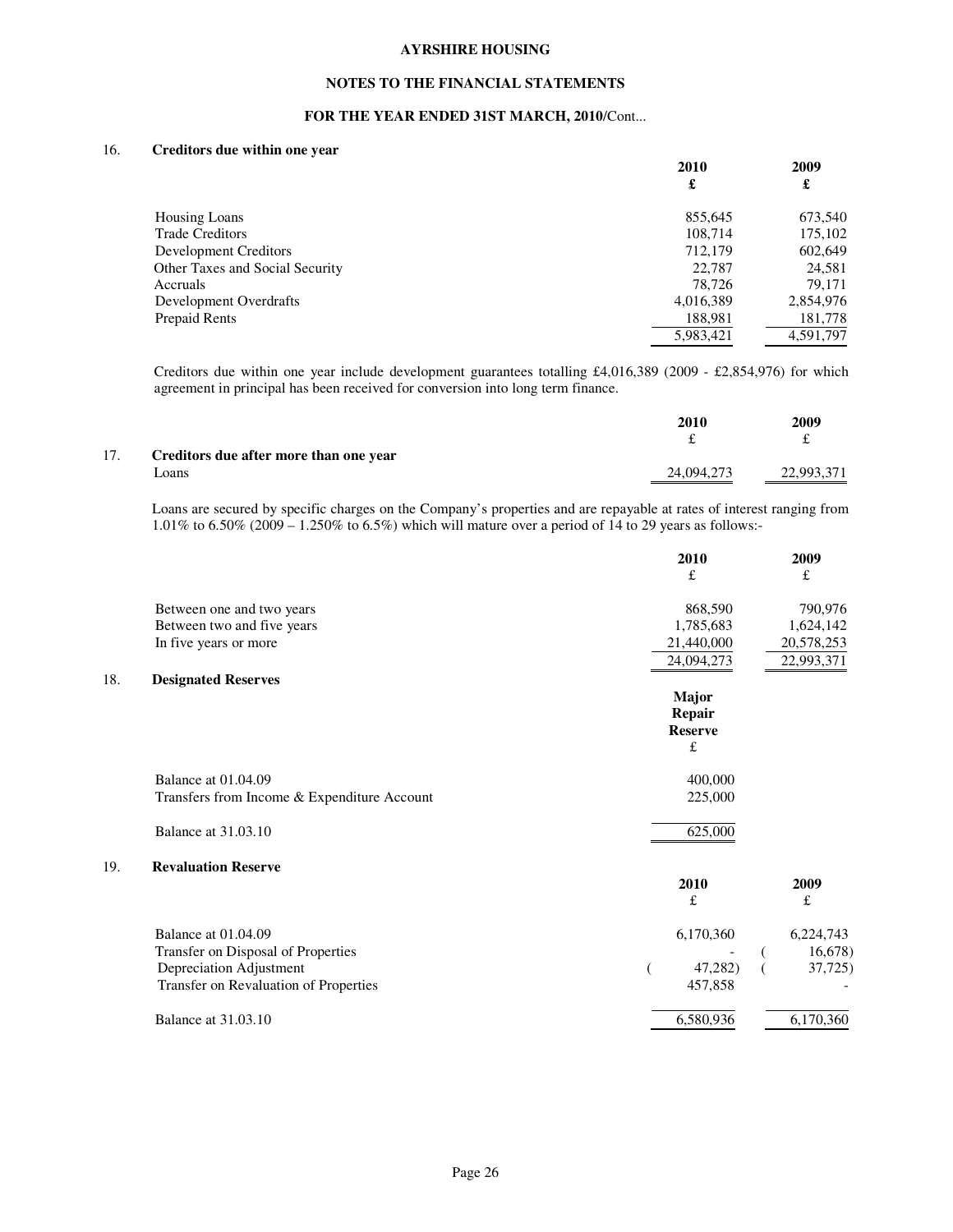# **NOTES TO THE FINANCIAL STATEMENTS**

# **FOR THE YEAR ENDED 31ST MARCH, 2010**/Cont...

# 16. **Creditors due within one year**

|                                 | 2010      | 2009      |
|---------------------------------|-----------|-----------|
|                                 | £         | £         |
| <b>Housing Loans</b>            | 855,645   | 673,540   |
| <b>Trade Creditors</b>          | 108.714   | 175,102   |
| Development Creditors           | 712,179   | 602,649   |
| Other Taxes and Social Security | 22,787    | 24,581    |
| Accruals                        | 78.726    | 79.171    |
| Development Overdrafts          | 4,016,389 | 2,854,976 |
| Prepaid Rents                   | 188,981   | 181,778   |
|                                 | 5,983,421 | 4,591,797 |

Creditors due within one year include development guarantees totalling £4,016,389 (2009 - £2,854,976) for which agreement in principal has been received for conversion into long term finance.

|     |                                        | 2010       | 2009<br>f  |
|-----|----------------------------------------|------------|------------|
| 17. | Creditors due after more than one year |            | ÷          |
|     | Loans                                  | 24,094,273 | 22,993,371 |

 Loans are secured by specific charges on the Company's properties and are repayable at rates of interest ranging from 1.01% to 6.50% (2009 – 1.250% to 6.5%) which will mature over a period of 14 to 29 years as follows:-

|     |                                             | 2010                                            | 2009       |
|-----|---------------------------------------------|-------------------------------------------------|------------|
|     |                                             | £                                               | £          |
|     | Between one and two years                   | 868,590                                         | 790,976    |
|     | Between two and five years                  | 1,785,683                                       | 1,624,142  |
|     | In five years or more                       | 21,440,000                                      | 20,578,253 |
|     |                                             | 24,094,273                                      | 22,993,371 |
| 18. | <b>Designated Reserves</b>                  |                                                 |            |
|     |                                             | <b>Major</b><br><b>Repair</b><br><b>Reserve</b> |            |
|     |                                             | £                                               |            |
|     | Balance at 01.04.09                         | 400,000                                         |            |
|     | Transfers from Income & Expenditure Account | 225,000                                         |            |
|     | <b>Balance at 31.03.10</b>                  | 625,000                                         |            |
| 19. | <b>Revaluation Reserve</b>                  |                                                 |            |
|     |                                             | 2010                                            | 2009       |
|     |                                             | £                                               | £          |
|     | <b>Balance at 01.04.09</b>                  | 6,170,360                                       | 6,224,743  |
|     | Transfer on Disposal of Properties          |                                                 | 16,678)    |
|     | Depreciation Adjustment                     | 47,282)<br>€                                    | 37,725)    |
|     | Transfer on Revaluation of Properties       | 457,858                                         |            |
|     | <b>Balance at 31.03.10</b>                  | 6,580,936                                       | 6,170,360  |
|     |                                             |                                                 |            |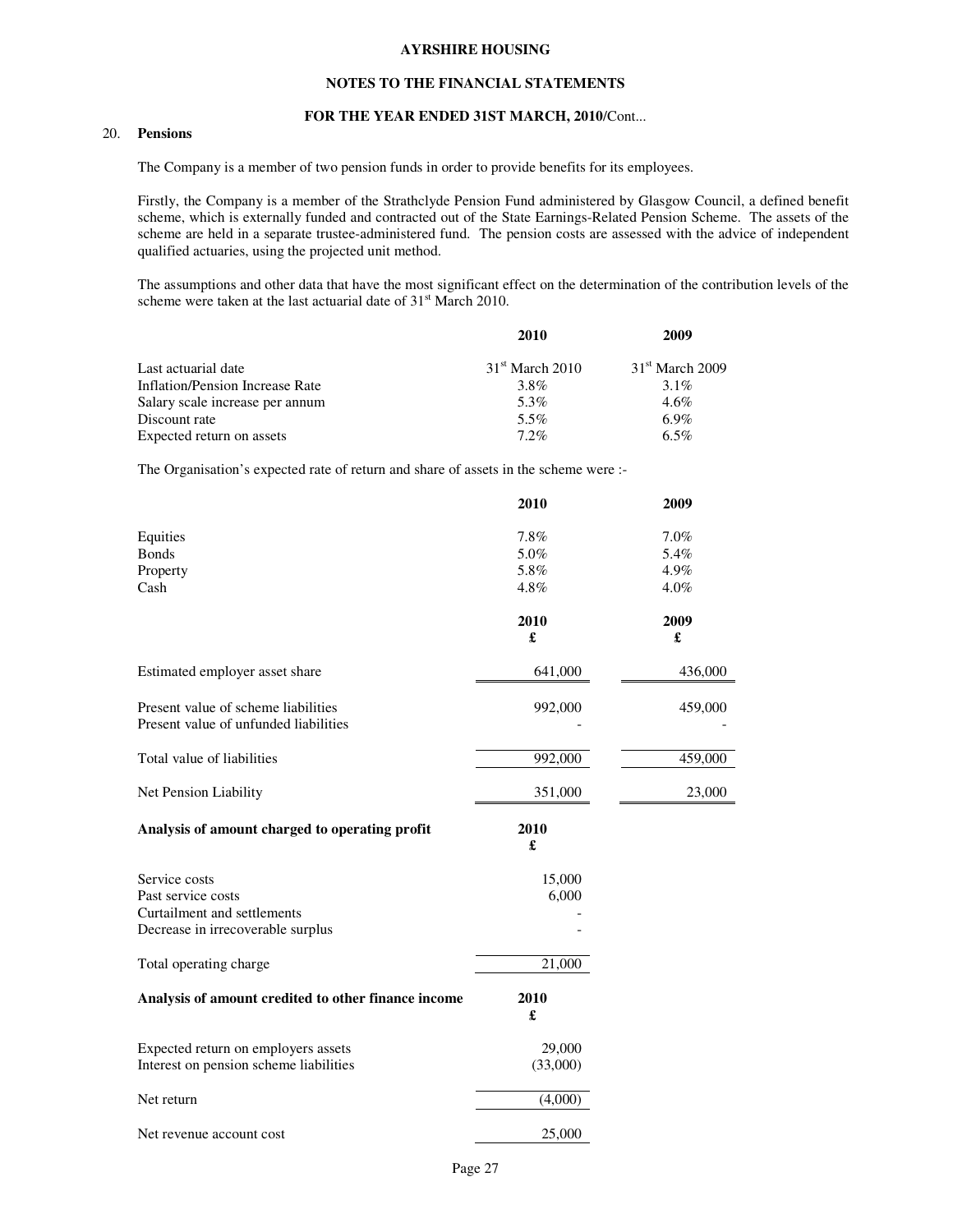# **NOTES TO THE FINANCIAL STATEMENTS**

### **FOR THE YEAR ENDED 31ST MARCH, 2010**/Cont...

## 20. **Pensions**

The Company is a member of two pension funds in order to provide benefits for its employees.

 Firstly, the Company is a member of the Strathclyde Pension Fund administered by Glasgow Council, a defined benefit scheme, which is externally funded and contracted out of the State Earnings-Related Pension Scheme. The assets of the scheme are held in a separate trustee-administered fund. The pension costs are assessed with the advice of independent qualified actuaries, using the projected unit method.

 The assumptions and other data that have the most significant effect on the determination of the contribution levels of the scheme were taken at the last actuarial date of 31<sup>st</sup> March 2010.

|                                 | 2010              | 2009                        |
|---------------------------------|-------------------|-----------------------------|
| Last actuarial date             | $31st$ March 2010 | 31 <sup>st</sup> March 2009 |
| Inflation/Pension Increase Rate | 3.8%              | $3.1\%$                     |
| Salary scale increase per annum | 5.3%              | $4.6\%$                     |
| Discount rate                   | 5.5%              | $6.9\%$                     |
| Expected return on assets       | $7.2\%$           | $6.5\%$                     |

The Organisation's expected rate of return and share of assets in the scheme were :-

|                                                     | 2010     | 2009    |
|-----------------------------------------------------|----------|---------|
| Equities                                            | 7.8%     | 7.0%    |
| <b>Bonds</b>                                        | 5.0%     | 5.4%    |
| Property                                            | 5.8%     | 4.9%    |
| Cash                                                | 4.8%     | 4.0%    |
|                                                     | 2010     | 2009    |
|                                                     | £        | £       |
| Estimated employer asset share                      | 641,000  | 436,000 |
| Present value of scheme liabilities                 | 992,000  | 459,000 |
| Present value of unfunded liabilities               |          |         |
| Total value of liabilities                          | 992,000  | 459,000 |
| Net Pension Liability                               | 351,000  | 23,000  |
| Analysis of amount charged to operating profit      | 2010     |         |
|                                                     | £        |         |
| Service costs                                       | 15,000   |         |
| Past service costs                                  | 6,000    |         |
| Curtailment and settlements                         |          |         |
| Decrease in irrecoverable surplus                   |          |         |
| Total operating charge                              | 21,000   |         |
|                                                     |          |         |
| Analysis of amount credited to other finance income | 2010     |         |
|                                                     | £        |         |
| Expected return on employers assets                 | 29,000   |         |
| Interest on pension scheme liabilities              | (33,000) |         |
| Net return                                          | (4,000)  |         |
|                                                     |          |         |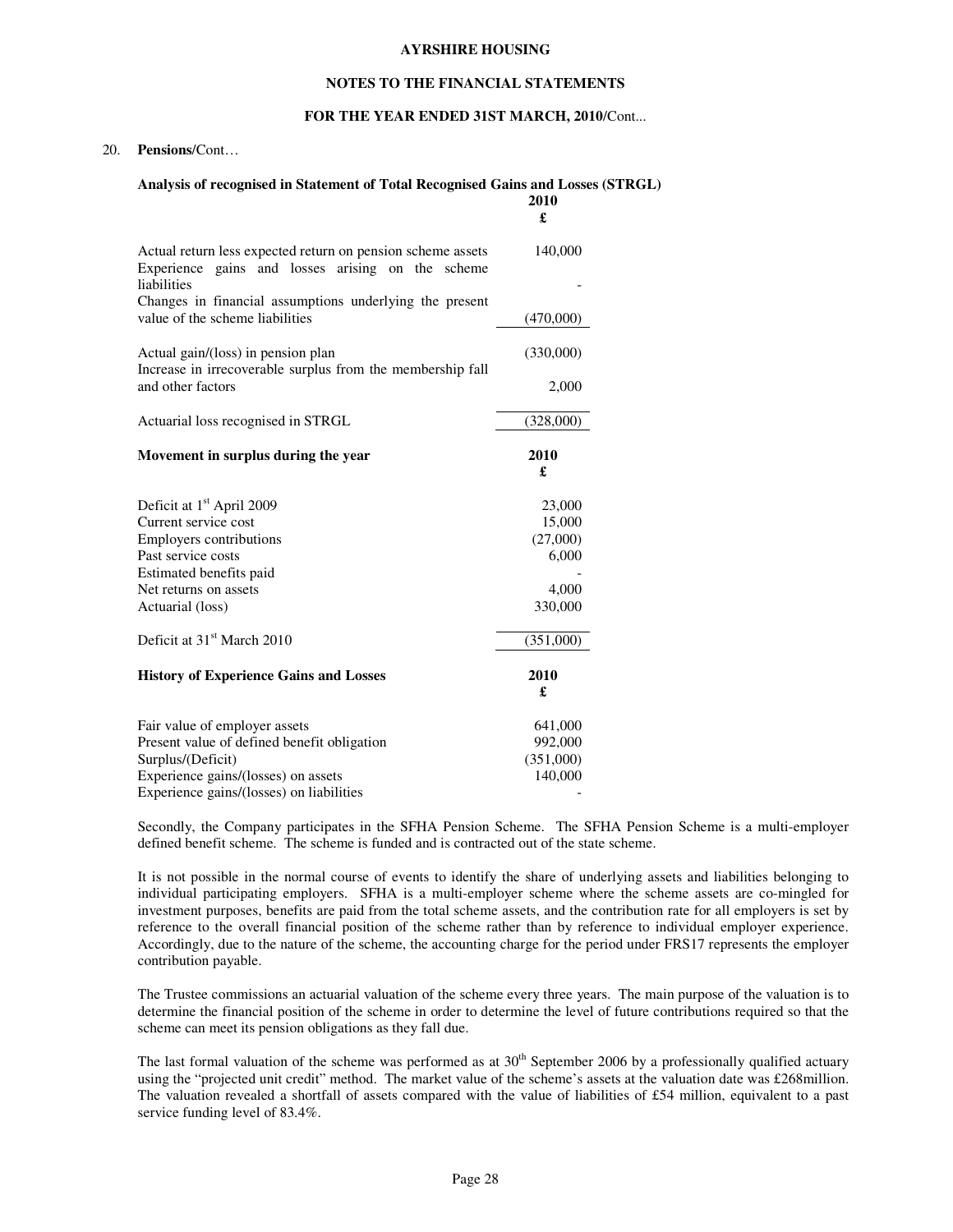# **NOTES TO THE FINANCIAL STATEMENTS**

# **FOR THE YEAR ENDED 31ST MARCH, 2010**/Cont...

### 20. **Pensions**/Cont…

#### **Analysis of recognised in Statement of Total Recognised Gains and Losses (STRGL) 2010**

|                                                                                                                                 | £         |
|---------------------------------------------------------------------------------------------------------------------------------|-----------|
| Actual return less expected return on pension scheme assets<br>Experience gains and losses arising on the scheme<br>liabilities | 140,000   |
| Changes in financial assumptions underlying the present<br>value of the scheme liabilities                                      | (470,000) |
| Actual gain/(loss) in pension plan                                                                                              | (330,000) |
| Increase in irrecoverable surplus from the membership fall<br>and other factors                                                 | 2,000     |
| Actuarial loss recognised in STRGL                                                                                              | (328,000) |
| Movement in surplus during the year                                                                                             | 2010<br>£ |
| Deficit at 1 <sup>st</sup> April 2009                                                                                           | 23,000    |
| Current service cost                                                                                                            | 15,000    |
| <b>Employers contributions</b>                                                                                                  | (27,000)  |
| Past service costs                                                                                                              | 6,000     |
| Estimated benefits paid                                                                                                         |           |
| Net returns on assets                                                                                                           | 4,000     |
| Actuarial (loss)                                                                                                                | 330,000   |
| Deficit at 31 <sup>st</sup> March 2010                                                                                          | (351,000) |
| <b>History of Experience Gains and Losses</b>                                                                                   | 2010<br>£ |
| Fair value of employer assets                                                                                                   | 641,000   |
| Present value of defined benefit obligation                                                                                     | 992,000   |
| Surplus/(Deficit)                                                                                                               | (351,000) |
| Experience gains/(losses) on assets                                                                                             | 140,000   |
| Experience gains/(losses) on liabilities                                                                                        |           |

 Secondly, the Company participates in the SFHA Pension Scheme. The SFHA Pension Scheme is a multi-employer defined benefit scheme. The scheme is funded and is contracted out of the state scheme.

 It is not possible in the normal course of events to identify the share of underlying assets and liabilities belonging to individual participating employers. SFHA is a multi-employer scheme where the scheme assets are co-mingled for investment purposes, benefits are paid from the total scheme assets, and the contribution rate for all employers is set by reference to the overall financial position of the scheme rather than by reference to individual employer experience. Accordingly, due to the nature of the scheme, the accounting charge for the period under FRS17 represents the employer contribution payable.

 The Trustee commissions an actuarial valuation of the scheme every three years. The main purpose of the valuation is to determine the financial position of the scheme in order to determine the level of future contributions required so that the scheme can meet its pension obligations as they fall due.

The last formal valuation of the scheme was performed as at  $30<sup>th</sup>$  September 2006 by a professionally qualified actuary using the "projected unit credit" method. The market value of the scheme's assets at the valuation date was £268million. The valuation revealed a shortfall of assets compared with the value of liabilities of £54 million, equivalent to a past service funding level of 83.4%.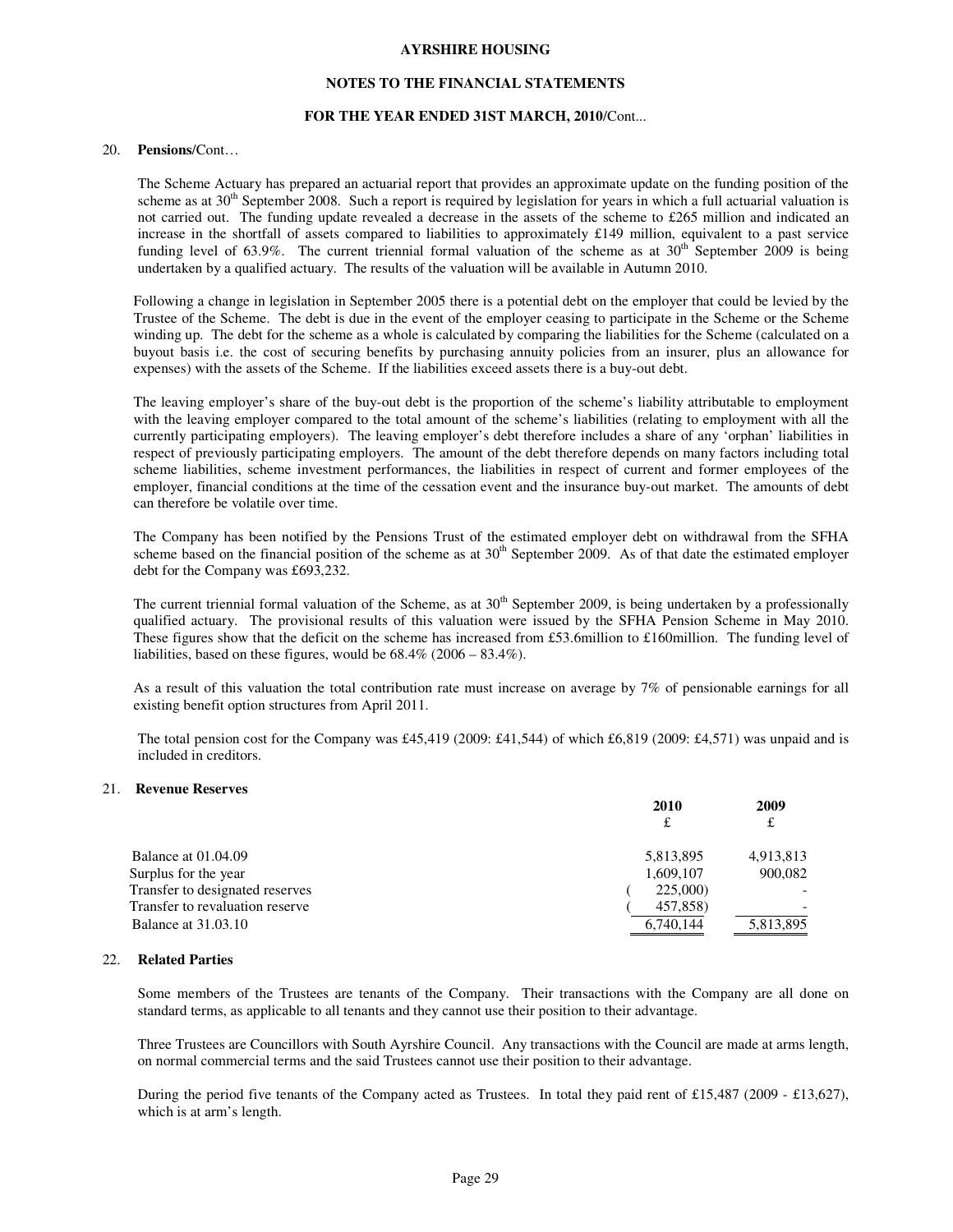### **NOTES TO THE FINANCIAL STATEMENTS**

### **FOR THE YEAR ENDED 31ST MARCH, 2010**/Cont...

### 20. **Pensions**/Cont…

 The Scheme Actuary has prepared an actuarial report that provides an approximate update on the funding position of the scheme as at  $30<sup>th</sup>$  September 2008. Such a report is required by legislation for years in which a full actuarial valuation is not carried out. The funding update revealed a decrease in the assets of the scheme to £265 million and indicated an increase in the shortfall of assets compared to liabilities to approximately £149 million, equivalent to a past service funding level of 63.9%. The current triennial formal valuation of the scheme as at  $30<sup>th</sup>$  September 2009 is being undertaken by a qualified actuary. The results of the valuation will be available in Autumn 2010.

Following a change in legislation in September 2005 there is a potential debt on the employer that could be levied by the Trustee of the Scheme. The debt is due in the event of the employer ceasing to participate in the Scheme or the Scheme winding up. The debt for the scheme as a whole is calculated by comparing the liabilities for the Scheme (calculated on a buyout basis i.e. the cost of securing benefits by purchasing annuity policies from an insurer, plus an allowance for expenses) with the assets of the Scheme. If the liabilities exceed assets there is a buy-out debt.

The leaving employer's share of the buy-out debt is the proportion of the scheme's liability attributable to employment with the leaving employer compared to the total amount of the scheme's liabilities (relating to employment with all the currently participating employers). The leaving employer's debt therefore includes a share of any 'orphan' liabilities in respect of previously participating employers. The amount of the debt therefore depends on many factors including total scheme liabilities, scheme investment performances, the liabilities in respect of current and former employees of the employer, financial conditions at the time of the cessation event and the insurance buy-out market. The amounts of debt can therefore be volatile over time.

The Company has been notified by the Pensions Trust of the estimated employer debt on withdrawal from the SFHA scheme based on the financial position of the scheme as at  $30<sup>th</sup>$  September 2009. As of that date the estimated employer debt for the Company was £693,232.

The current triennial formal valuation of the Scheme, as at  $30<sup>th</sup>$  September 2009, is being undertaken by a professionally qualified actuary. The provisional results of this valuation were issued by the SFHA Pension Scheme in May 2010. These figures show that the deficit on the scheme has increased from £53.6million to £160million. The funding level of liabilities, based on these figures, would be 68.4% (2006 – 83.4%).

As a result of this valuation the total contribution rate must increase on average by 7% of pensionable earnings for all existing benefit option structures from April 2011.

The total pension cost for the Company was £45,419 (2009: £41,544) of which £6,819 (2009: £4,571) was unpaid and is included in creditors.

### 21. **Revenue Reserves**

| 2010      | 2009<br>£ |  |
|-----------|-----------|--|
|           |           |  |
| 5,813,895 | 4,913,813 |  |
| 1,609,107 | 900,082   |  |
| 225,000)  |           |  |
| 457,858)  |           |  |
| 6,740,144 | 5,813,895 |  |
|           |           |  |

### 22. **Related Parties**

 Some members of the Trustees are tenants of the Company. Their transactions with the Company are all done on standard terms, as applicable to all tenants and they cannot use their position to their advantage.

 Three Trustees are Councillors with South Ayrshire Council. Any transactions with the Council are made at arms length, on normal commercial terms and the said Trustees cannot use their position to their advantage.

During the period five tenants of the Company acted as Trustees. In total they paid rent of £15,487 (2009 - £13,627), which is at arm's length.